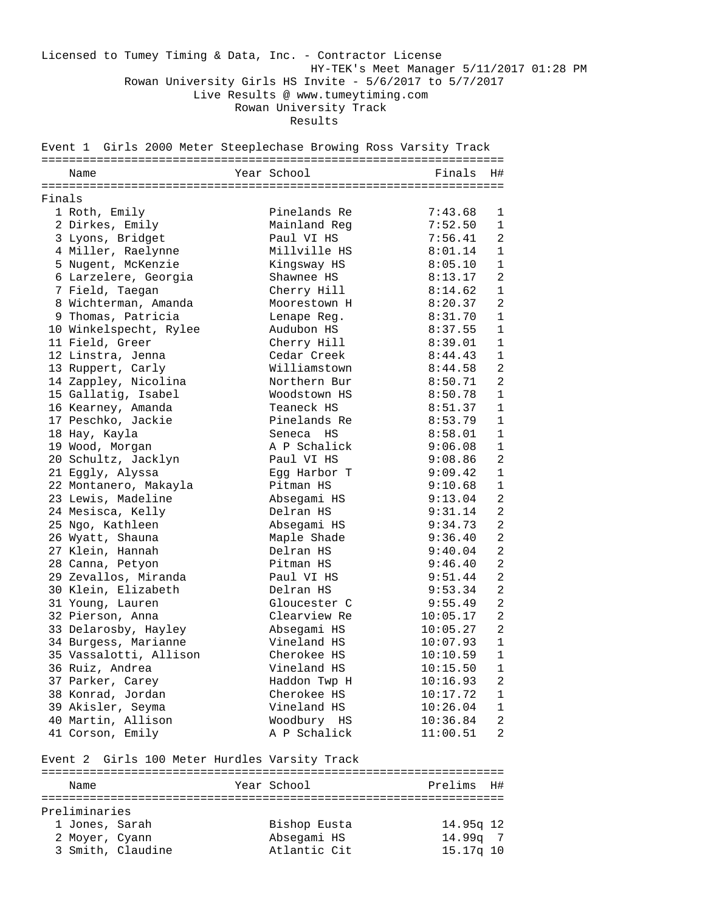Licensed to Tumey Timing & Data, Inc. - Contractor License HY-TEK's Meet Manager 5/11/2017 01:28 PM Rowan University Girls HS Invite - 5/6/2017 to 5/7/2017 Live Results @ www.tumeytiming.com Rowan University Track Results

|        | Name                   | Year School  | Finals   | H#             |
|--------|------------------------|--------------|----------|----------------|
| Finals |                        |              |          |                |
|        | 1 Roth, Emily          | Pinelands Re | 7:43.68  | 1              |
|        | 2 Dirkes, Emily        | Mainland Reg | 7:52.50  | $\mathbf{1}$   |
|        | 3 Lyons, Bridget       | Paul VI HS   | 7:56.41  | 2              |
|        | 4 Miller, Raelynne     | Millville HS | 8:01.14  | $\mathbf{1}$   |
|        | 5 Nugent, McKenzie     | Kingsway HS  | 8:05.10  | $\mathbf 1$    |
|        | 6 Larzelere, Georgia   | Shawnee HS   | 8:13.17  | 2              |
|        | 7 Field, Taegan        | Cherry Hill  | 8:14.62  | 1              |
|        | 8 Wichterman, Amanda   | Moorestown H | 8:20.37  | 2              |
|        | 9 Thomas, Patricia     | Lenape Reg.  | 8:31.70  | $\mathbf 1$    |
|        | 10 Winkelspecht, Rylee | Audubon HS   | 8:37.55  | $\mathbf{1}$   |
|        | 11 Field, Greer        | Cherry Hill  | 8:39.01  | $\mathbf{1}$   |
|        | 12 Linstra, Jenna      | Cedar Creek  | 8:44.43  | $\mathbf{1}$   |
|        | 13 Ruppert, Carly      | Williamstown | 8:44.58  | $\overline{2}$ |
|        | 14 Zappley, Nicolina   | Northern Bur | 8:50.71  | 2              |
|        | 15 Gallatig, Isabel    | Woodstown HS | 8:50.78  | 1              |
|        | 16 Kearney, Amanda     | Teaneck HS   | 8:51.37  | $\mathbf{1}$   |
|        | 17 Peschko, Jackie     | Pinelands Re | 8:53.79  | $\mathbf{1}$   |
|        | 18 Hay, Kayla          | Seneca HS    | 8:58.01  | $\mathbf 1$    |
|        | 19 Wood, Morgan        | A P Schalick | 9:06.08  | $\mathbf{1}$   |
|        | 20 Schultz, Jacklyn    | Paul VI HS   | 9:08.86  | 2              |
|        | 21 Eggly, Alyssa       | Eqq Harbor T | 9:09.42  | $\mathbf 1$    |
|        | 22 Montanero, Makayla  | Pitman HS    | 9:10.68  | $\mathbf{1}$   |
|        | 23 Lewis, Madeline     | Absegami HS  | 9:13.04  | 2              |
|        | 24 Mesisca, Kelly      | Delran HS    | 9:31.14  | 2              |
|        | 25 Ngo, Kathleen       | Absegami HS  | 9:34.73  | 2              |
|        | 26 Wyatt, Shauna       | Maple Shade  | 9:36.40  | 2              |
|        | 27 Klein, Hannah       | Delran HS    | 9:40.04  | 2              |
|        | 28 Canna, Petyon       | Pitman HS    | 9:46.40  | 2              |
|        | 29 Zevallos, Miranda   | Paul VI HS   | 9:51.44  | $\overline{2}$ |
|        | 30 Klein, Elizabeth    | Delran HS    | 9:53.34  | 2              |
|        | 31 Young, Lauren       | Gloucester C | 9:55.49  | 2              |
|        | 32 Pierson, Anna       | Clearview Re | 10:05.17 | $\overline{2}$ |
|        | 33 Delarosby, Hayley   | Absegami HS  | 10:05.27 | 2              |
|        | 34 Burgess, Marianne   | Vineland HS  | 10:07.93 | $\mathbf{1}$   |
|        | 35 Vassalotti, Allison | Cherokee HS  | 10:10.59 | 1              |
|        | 36 Ruiz, Andrea        | Vineland HS  | 10:15.50 | 1              |
|        | 37 Parker, Carey       | Haddon Twp H | 10:16.93 | 2              |
|        | 38 Konrad, Jordan      | Cherokee HS  | 10:17.72 | $\mathbf{1}$   |
|        | 39 Akisler, Seyma      | Vineland HS  | 10:26.04 | $\mathbf{1}$   |
|        | 40 Martin, Allison     | Woodbury HS  | 10:36.84 | 2              |
|        | 41 Corson, Emily       | A P Schalick | 11:00.51 | 2              |

## Event 2 Girls 100 Meter Hurdles Varsity Track

| Name          |                   | Year School  | Prelims H# |
|---------------|-------------------|--------------|------------|
|               |                   |              |            |
| Preliminaries |                   |              |            |
|               | 1 Jones, Sarah    | Bishop Eusta | 14.95g 12  |
|               | 2 Moyer, Cyann    | Absegami HS  | $14.99q$ 7 |
|               | 3 Smith, Claudine | Atlantic Cit | 15.17q 10  |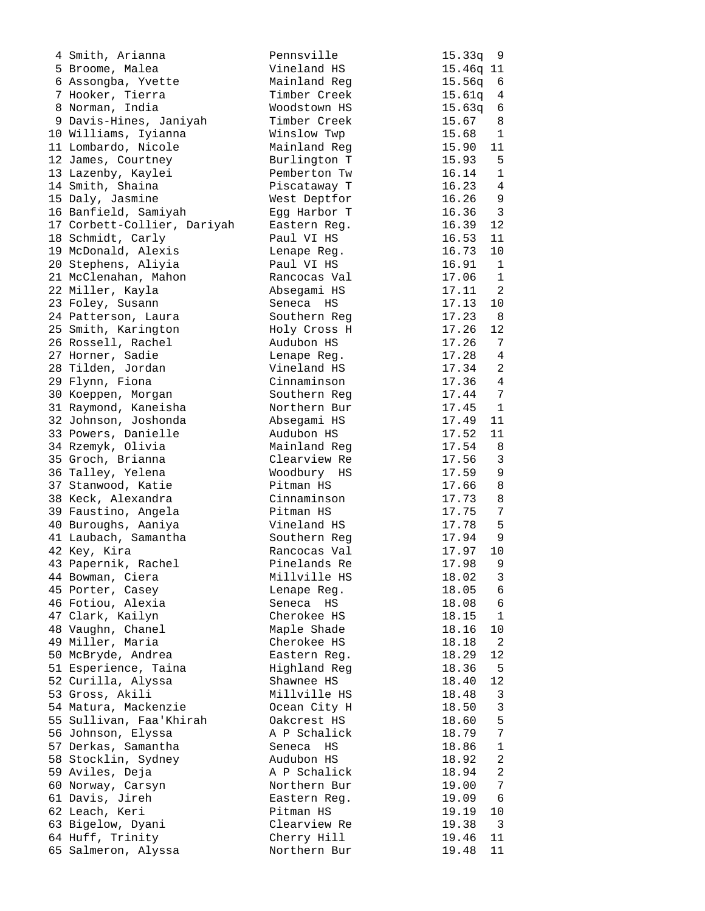| 4 Smith, Arianna            | Pennsville   | 15.33q<br>9               |
|-----------------------------|--------------|---------------------------|
| 5 Broome, Malea             | Vineland HS  | 15.46q 11                 |
| 6 Assongba, Yvette          | Mainland Reg | 15.56q<br>6               |
| 7 Hooker, Tierra            | Timber Creek | 15.61q<br>$\overline{4}$  |
| 8 Norman, India             | Woodstown HS | 15.63q<br>6               |
| 9 Davis-Hines, Janiyah      | Timber Creek | 15.67<br>8                |
| 10 Williams, Iyianna        | Winslow Twp  | 15.68<br>1                |
| 11 Lombardo, Nicole         | Mainland Reg | 15.90<br>11               |
| 12 James, Courtney          | Burlington T | 15.93<br>$5^{\circ}$      |
| 13 Lazenby, Kaylei          | Pemberton Tw | 16.14<br>$\mathbf{1}$     |
| 14 Smith, Shaina            | Piscataway T | 16.23<br>4                |
| 15 Daly, Jasmine            | West Deptfor | 16.26<br>9                |
|                             | Egg Harbor T | 3<br>16.36                |
| 16 Banfield, Samiyah        |              |                           |
| 17 Corbett-Collier, Dariyah | Eastern Reg. | 16.39<br>12               |
| 18 Schmidt, Carly           | Paul VI HS   | 16.53<br>11               |
| 19 McDonald, Alexis         | Lenape Reg.  | 10<br>16.73               |
| 20 Stephens, Aliyia         | Paul VI HS   | 16.91<br>$\mathbf{1}$     |
| 21 McClenahan, Mahon        | Rancocas Val | 17.06<br>$\mathbf{1}$     |
| 22 Miller, Kayla            | Absegami HS  | 17.11<br>2                |
| 23 Foley, Susann            | Seneca HS    | 17.13<br>10               |
| 24 Patterson, Laura         | Southern Reg | 17.23<br>8                |
| 25 Smith, Karington         | Holy Cross H | 17.26<br>12               |
| 26 Rossell, Rachel          | Audubon HS   | 17.26<br>7                |
| 27 Horner, Sadie            | Lenape Reg.  | 17.28<br>4                |
| 28 Tilden, Jordan           | Vineland HS  | 17.34<br>2                |
| 29 Flynn, Fiona             | Cinnaminson  | 17.36<br>4                |
| 30 Koeppen, Morgan          | Southern Reg | 17.44<br>7                |
| 31 Raymond, Kaneisha        | Northern Bur | 17.45<br>$\mathbf{1}$     |
| 32 Johnson, Joshonda        | Absegami HS  | 17.49<br>11               |
| 33 Powers, Danielle         | Audubon HS   | 17.52<br>11               |
| 34 Rzemyk, Olivia           | Mainland Reg | 17.54<br>8                |
| 35 Groch, Brianna           | Clearview Re | $\mathfrak{Z}$<br>17.56   |
| 36 Talley, Yelena           | Woodbury HS  | 9<br>17.59                |
| 37 Stanwood, Katie          | Pitman HS    | 17.66<br>8                |
| 38 Keck, Alexandra          | Cinnaminson  | 17.73<br>8                |
| 39 Faustino, Angela         | Pitman HS    | $\overline{7}$<br>17.75   |
| 40 Buroughs, Aaniya         | Vineland HS  | 17.78<br>5                |
| 41 Laubach, Samantha        | Southern Reg | 17.94<br>9                |
| 42 Key, Kira                | Rancocas Val | 17.97<br>10               |
| 43 Papernik, Rachel         | Pinelands Re | $\,9$<br>17.98            |
| 44 Bowman, Ciera            | Millville HS | 18.02<br>3                |
| 45 Porter, Casey            | Lenape Reg.  | 18.05<br>6                |
| 46 Fotiou, Alexia           | Seneca HS    | 18.08<br>6                |
| 47 Clark, Kailyn            | Cherokee HS  | $\mathbf{1}$<br>18.15     |
| 48 Vaughn, Chanel           | Maple Shade  | 18.16<br>10               |
| 49 Miller, Maria            | Cherokee HS  | 2<br>18.18                |
| 50 McBryde, Andrea          | Eastern Req. | 12<br>18.29               |
| 51 Esperience, Taina        | Highland Reg | 18.36<br>5                |
| 52 Curilla, Alyssa          | Shawnee HS   | 12<br>18.40               |
| 53 Gross, Akili             | Millville HS | 18.48<br>3                |
| 54 Matura, Mackenzie        | Ocean City H | $\mathfrak{Z}$<br>18.50   |
| 55 Sullivan, Faa'Khirah     | Oakcrest HS  | 5<br>18.60                |
| 56 Johnson, Elyssa          | A P Schalick | $\boldsymbol{7}$<br>18.79 |
| 57 Derkas, Samantha         | Seneca HS    | 18.86<br>$\mathbf 1$      |
| 58 Stocklin, Sydney         | Audubon HS   | 2<br>18.92                |
| 59 Aviles, Deja             | A P Schalick | 2<br>18.94                |
| 60 Norway, Carsyn           | Northern Bur | 7<br>19.00                |
| 61 Davis, Jireh             | Eastern Req. | 19.09<br>6                |
| 62 Leach, Keri              | Pitman HS    | 19.19<br>10               |
| 63 Bigelow, Dyani           | Clearview Re | 19.38<br>3                |
| 64 Huff, Trinity            | Cherry Hill  | 11<br>19.46               |
| 65 Salmeron, Alyssa         | Northern Bur | 11<br>19.48               |
|                             |              |                           |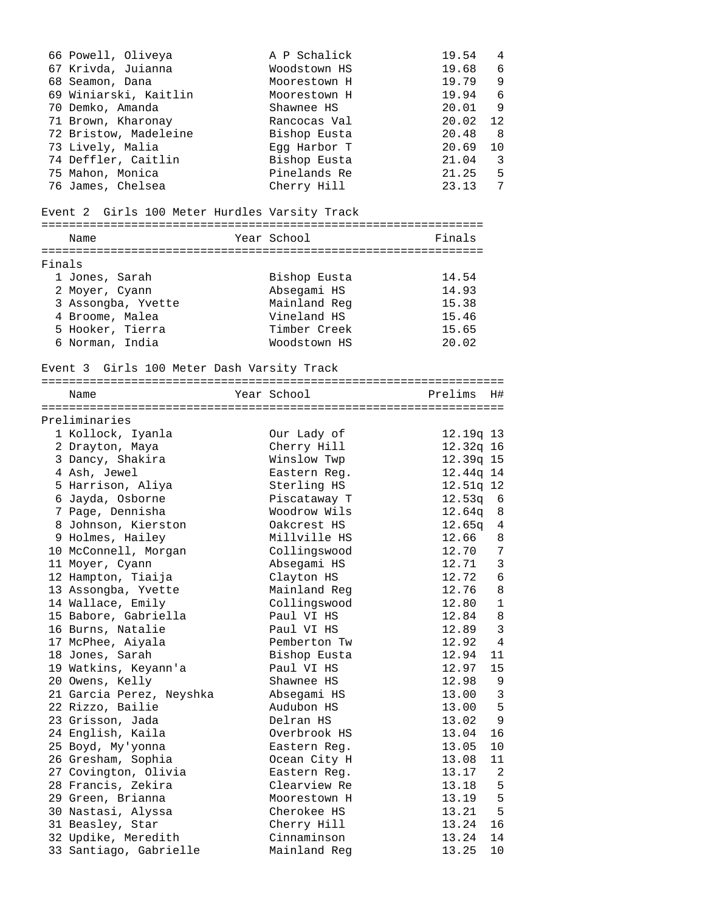|        | 66 Powell, Oliveya<br>67 Krivda, Juianna<br>68 Seamon, Dana<br>69 Winiarski, Kaitlin<br>70 Demko, Amanda<br>71 Brown, Kharonay<br>72 Bristow, Madeleine | A P Schalick<br>Woodstown HS<br>Moorestown H<br>Moorestown H<br>Shawnee HS<br>Rancocas Val<br>Bishop Eusta | 19.54<br>19.68<br>19.79<br>19.94<br>20.01<br>20.02<br>20.48 | 4<br>-6<br>9<br>6<br>9<br>12<br>-8 |
|--------|---------------------------------------------------------------------------------------------------------------------------------------------------------|------------------------------------------------------------------------------------------------------------|-------------------------------------------------------------|------------------------------------|
|        | 73 Lively, Malia                                                                                                                                        | Egg Harbor T                                                                                               | 20.69                                                       | 10                                 |
|        | 74 Deffler, Caitlin                                                                                                                                     | Bishop Eusta                                                                                               | 21.04                                                       | -3                                 |
|        | 75 Mahon, Monica                                                                                                                                        | Pinelands Re                                                                                               | 21.25                                                       | - 5                                |
|        | 76 James, Chelsea                                                                                                                                       | Cherry Hill                                                                                                | 23.13                                                       | 7                                  |
|        | Event 2 Girls 100 Meter Hurdles Varsity Track                                                                                                           |                                                                                                            |                                                             |                                    |
|        | Name                                                                                                                                                    | Year School                                                                                                | Finals                                                      |                                    |
|        |                                                                                                                                                         |                                                                                                            |                                                             |                                    |
| Finals |                                                                                                                                                         |                                                                                                            |                                                             |                                    |
|        | 1 Jones, Sarah                                                                                                                                          | Bishop Eusta                                                                                               | 14.54<br>14.93                                              |                                    |
|        | 2 Moyer, Cyann<br>3 Assongba, Yvette                                                                                                                    | Absegami HS<br>Mainland Reg                                                                                | 15.38                                                       |                                    |
|        | 4 Broome, Malea                                                                                                                                         | Vineland HS                                                                                                | 15.46                                                       |                                    |
|        | 5 Hooker, Tierra                                                                                                                                        | Timber Creek                                                                                               | 15.65                                                       |                                    |
|        | 6 Norman, India                                                                                                                                         | Woodstown HS                                                                                               | 20.02                                                       |                                    |
|        |                                                                                                                                                         |                                                                                                            |                                                             |                                    |
|        | Event 3 Girls 100 Meter Dash Varsity Track                                                                                                              |                                                                                                            |                                                             |                                    |
|        | Name                                                                                                                                                    | Year School                                                                                                | Prelims                                                     | H#                                 |
|        |                                                                                                                                                         |                                                                                                            |                                                             |                                    |
|        | Preliminaries                                                                                                                                           |                                                                                                            |                                                             |                                    |
|        | 1 Kollock, Iyanla                                                                                                                                       | Our Lady of                                                                                                | 12.19q 13                                                   |                                    |
|        | 2 Drayton, Maya                                                                                                                                         | Cherry Hill                                                                                                | 12.32q 16                                                   |                                    |
|        | 3 Dancy, Shakira                                                                                                                                        | Winslow Twp                                                                                                | 12.39q 15                                                   |                                    |
|        | 4 Ash, Jewel                                                                                                                                            | Eastern Req.                                                                                               | 12.44q 14                                                   |                                    |
|        | 5 Harrison, Aliya                                                                                                                                       | Sterling HS                                                                                                | 12.51q 12                                                   |                                    |
|        | 6 Jayda, Osborne                                                                                                                                        | Piscataway T                                                                                               | $12.53q$ 6                                                  |                                    |
|        | 7 Page, Dennisha                                                                                                                                        | Woodrow Wils                                                                                               | 12.64q 8                                                    |                                    |
|        | 8 Johnson, Kierston                                                                                                                                     | Oakcrest HS                                                                                                | 12.65q 4                                                    |                                    |
|        | 9 Holmes, Hailey                                                                                                                                        | Millville HS                                                                                               | 12.66 8                                                     |                                    |
|        | 10 McConnell, Morgan                                                                                                                                    | Collingswood                                                                                               | 12.70 7                                                     |                                    |
|        | 11 Moyer, Cyann                                                                                                                                         | Absegami HS                                                                                                | 12.71                                                       | 3                                  |
|        | 12 Hampton, Tiaija                                                                                                                                      | Clayton HS<br>Mainland Reg                                                                                 | 12.72<br>12.76                                              | 6<br>8                             |
|        | 13 Assongba, Yvette<br>14 Wallace, Emily                                                                                                                | Collingswood                                                                                               | 12.80                                                       | $\mathbf{1}$                       |
|        | 15 Babore, Gabriella                                                                                                                                    | Paul VI HS                                                                                                 | 12.84                                                       | 8                                  |
|        | 16 Burns, Natalie                                                                                                                                       | Paul VI HS                                                                                                 | 12.89                                                       | 3                                  |
|        | 17 McPhee, Aiyala                                                                                                                                       | Pemberton Tw                                                                                               | 12.92                                                       | 4                                  |
|        | 18 Jones, Sarah                                                                                                                                         | Bishop Eusta                                                                                               | 12.94                                                       | 11                                 |
|        | 19 Watkins, Keyann'a                                                                                                                                    | Paul VI HS                                                                                                 | 12.97                                                       | 15                                 |
|        | 20 Owens, Kelly                                                                                                                                         | Shawnee HS                                                                                                 | 12.98                                                       | 9                                  |
|        | 21 Garcia Perez, Neyshka                                                                                                                                | Absegami HS                                                                                                | 13.00                                                       | 3                                  |
|        | 22 Rizzo, Bailie                                                                                                                                        | Audubon HS                                                                                                 | 13.00                                                       | 5                                  |
|        | 23 Grisson, Jada                                                                                                                                        | Delran HS                                                                                                  | 13.02                                                       | 9                                  |
|        | 24 English, Kaila                                                                                                                                       | Overbrook HS                                                                                               | 13.04                                                       | 16                                 |
|        | 25 Boyd, My'yonna                                                                                                                                       | Eastern Reg.                                                                                               | 13.05                                                       | 10                                 |
|        | 26 Gresham, Sophia                                                                                                                                      | Ocean City H                                                                                               | 13.08                                                       | 11                                 |
|        | 27 Covington, Olivia                                                                                                                                    | Eastern Reg.                                                                                               | 13.17                                                       | 2                                  |
|        | 28 Francis, Zekira                                                                                                                                      | Clearview Re                                                                                               | 13.18                                                       | 5                                  |
|        | 29 Green, Brianna                                                                                                                                       | Moorestown H                                                                                               | 13.19                                                       | 5                                  |
|        | 30 Nastasi, Alyssa                                                                                                                                      | Cherokee HS                                                                                                | 13.21                                                       | 5                                  |
|        | 31 Beasley, Star                                                                                                                                        | Cherry Hill                                                                                                | 13.24                                                       | 16                                 |
|        | 32 Updike, Meredith                                                                                                                                     | Cinnaminson                                                                                                | 13.24                                                       | 14                                 |
|        | 33 Santiago, Gabrielle                                                                                                                                  | Mainland Reg                                                                                               | 13.25                                                       | 10                                 |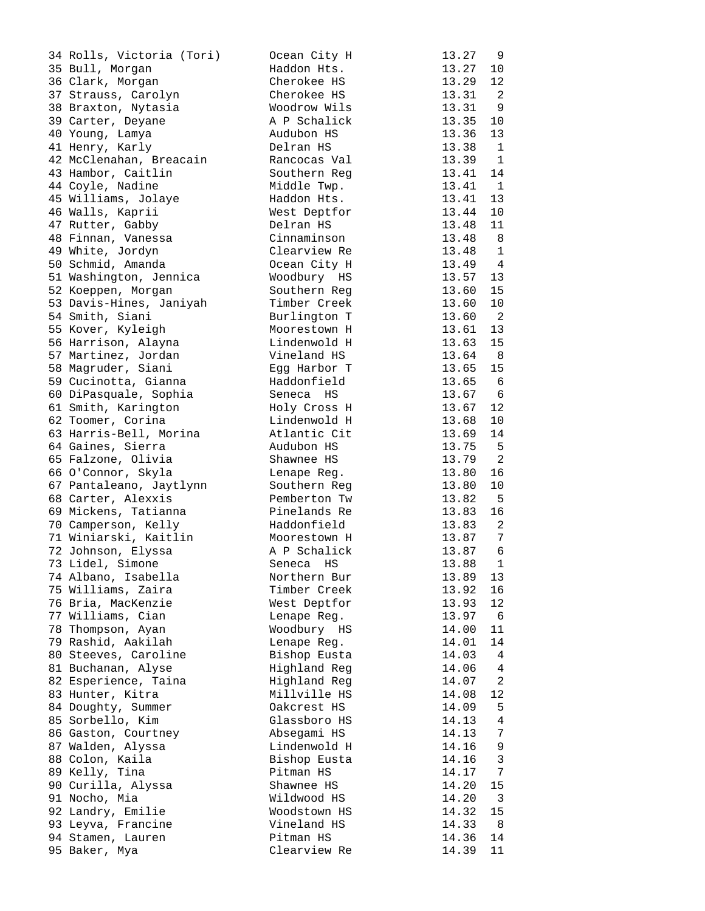| 34 Rolls, Victoria (Tori) | Ocean City H | 13.27 | 9               |
|---------------------------|--------------|-------|-----------------|
| 35 Bull, Morgan           | Haddon Hts.  | 13.27 | 10              |
| 36 Clark, Morgan          | Cherokee HS  | 13.29 | 12              |
| 37 Strauss, Carolyn       | Cherokee HS  | 13.31 | 2               |
| 38 Braxton, Nytasia       | Woodrow Wils | 13.31 | 9               |
| 39 Carter, Deyane         | A P Schalick | 13.35 | 10              |
| 40 Young, Lamya           | Audubon HS   | 13.36 | 13              |
|                           |              |       |                 |
| 41 Henry, Karly           | Delran HS    | 13.38 | 1               |
| 42 McClenahan, Breacain   | Rancocas Val | 13.39 | 1               |
| 43 Hambor, Caitlin        | Southern Reg | 13.41 | 14              |
| 44 Coyle, Nadine          | Middle Twp.  | 13.41 | $\overline{1}$  |
| 45 Williams, Jolaye       | Haddon Hts.  | 13.41 | 13              |
| 46 Walls, Kaprii          | West Deptfor | 13.44 | 10              |
| 47 Rutter, Gabby          | Delran HS    | 13.48 | 11              |
| 48 Finnan, Vanessa        | Cinnaminson  | 13.48 | 8               |
| 49 White, Jordyn          | Clearview Re | 13.48 | $\mathbf{1}$    |
| 50 Schmid, Amanda         | Ocean City H | 13.49 | 4               |
| 51 Washington, Jennica    | Woodbury HS  | 13.57 | 13              |
| 52 Koeppen, Morgan        | Southern Req | 13.60 | 15              |
| 53 Davis-Hines, Janiyah   | Timber Creek | 13.60 | 10              |
| 54 Smith, Siani           | Burlington T | 13.60 | 2               |
| 55 Kover, Kyleigh         | Moorestown H | 13.61 | 13              |
| 56 Harrison, Alayna       | Lindenwold H | 13.63 | 15              |
| 57 Martinez, Jordan       | Vineland HS  | 13.64 | 8 <sup>8</sup>  |
| 58 Magruder, Siani        | Eqq Harbor T | 13.65 | 15              |
|                           | Haddonfield  | 13.65 | 6               |
| 59 Cucinotta, Gianna      |              |       |                 |
| 60 DiPasquale, Sophia     | Seneca HS    | 13.67 | $\epsilon$      |
| 61 Smith, Karington       | Holy Cross H | 13.67 | 12              |
| 62 Toomer, Corina         | Lindenwold H | 13.68 | 10              |
| 63 Harris-Bell, Morina    | Atlantic Cit | 13.69 | 14              |
| 64 Gaines, Sierra         | Audubon HS   | 13.75 | 5               |
| 65 Falzone, Olivia        | Shawnee HS   | 13.79 | $\overline{a}$  |
| 66 O'Connor, Skyla        | Lenape Reg.  | 13.80 | 16              |
| 67 Pantaleano, Jaytlynn   | Southern Reg | 13.80 | 10              |
| 68 Carter, Alexxis        | Pemberton Tw | 13.82 | 5               |
| 69 Mickens, Tatianna      | Pinelands Re | 13.83 | 16              |
| 70 Camperson, Kelly       | Haddonfield  | 13.83 | 2               |
| 71 Winiarski, Kaitlin     | Moorestown H | 13.87 | 7               |
| 72 Johnson, Elyssa        | A P Schalick | 13.87 | 6               |
| 73 Lidel, Simone          | Seneca HS    | 13.88 | 1               |
| 74 Albano, Isabella       | Northern Bur | 13.89 | 13              |
| 75 Williams, Zaira        | Timber Creek | 13.92 | 16              |
| 76 Bria, MacKenzie        | West Deptfor | 13.93 | 12              |
| 77 Williams, Cian         | Lenape Reg.  | 13.97 | 6               |
| 78 Thompson, Ayan         | Woodbury HS  | 14.00 | 11              |
| 79 Rashid, Aakilah        | Lenape Reg.  | 14.01 | 14              |
| 80 Steeves, Caroline      | Bishop Eusta | 14.03 | 4               |
| 81 Buchanan, Alyse        | Highland Reg | 14.06 | 4               |
| 82 Esperience, Taina      | Highland Reg | 14.07 | 2               |
| 83 Hunter, Kitra          | Millville HS |       |                 |
|                           |              | 14.08 | 12              |
| 84 Doughty, Summer        | Oakcrest HS  | 14.09 | 5               |
| 85 Sorbello, Kim          | Glassboro HS | 14.13 | 4               |
| 86 Gaston, Courtney       | Absegami HS  | 14.13 | 7               |
| 87 Walden, Alyssa         | Lindenwold H | 14.16 | 9               |
| 88 Colon, Kaila           | Bishop Eusta | 14.16 | 3               |
| 89 Kelly, Tina            | Pitman HS    | 14.17 | $7\phantom{.0}$ |
| 90 Curilla, Alyssa        | Shawnee HS   | 14.20 | 15              |
| 91 Nocho, Mia             | Wildwood HS  | 14.20 | $\overline{3}$  |
| 92 Landry, Emilie         | Woodstown HS | 14.32 | 15              |
| 93 Leyva, Francine        | Vineland HS  | 14.33 | 8               |
| 94 Stamen, Lauren         | Pitman HS    | 14.36 | 14              |
| 95 Baker, Mya             | Clearview Re | 14.39 | 11              |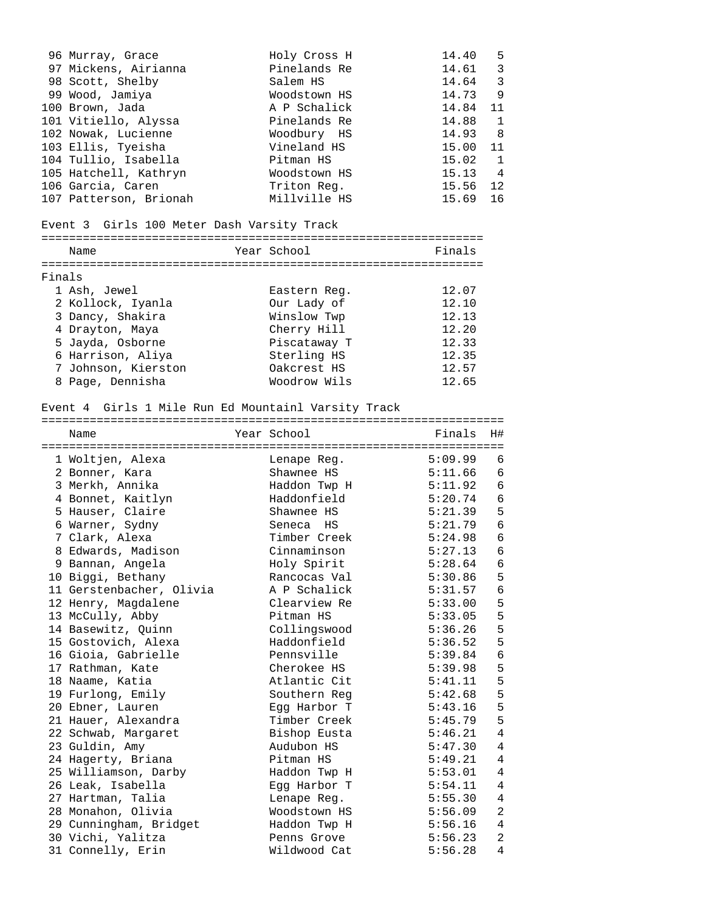|        | 96 Murray, Grace<br>97 Mickens, Airianna<br>98 Scott, Shelby<br>99 Wood, Jamiya<br>100 Brown, Jada<br>101 Vitiello, Alyssa<br>102 Nowak, Lucienne<br>103 Ellis, Tyeisha | Holy Cross H<br>Pinelands Re<br>Salem HS<br>Woodstown HS<br>A P Schalick<br>Pinelands Re<br>Woodbury HS<br>Vineland HS | 14.40<br>14.61<br>14.64<br>14.73<br>14.84<br>14.88<br>14.93<br>15.00 | -5<br>$\overline{3}$<br>$\overline{3}$<br>9<br>11<br>$\mathbf{1}$<br>8<br>11 |
|--------|-------------------------------------------------------------------------------------------------------------------------------------------------------------------------|------------------------------------------------------------------------------------------------------------------------|----------------------------------------------------------------------|------------------------------------------------------------------------------|
|        | 104 Tullio, Isabella                                                                                                                                                    | Pitman HS                                                                                                              | 15.02                                                                | $\mathbf{1}$                                                                 |
|        | 105 Hatchell, Kathryn                                                                                                                                                   | Woodstown HS                                                                                                           | 15.13                                                                | 4                                                                            |
|        | 106 Garcia, Caren                                                                                                                                                       | Triton Req.                                                                                                            | 15.56                                                                | 12                                                                           |
|        | 107 Patterson, Brionah                                                                                                                                                  | Millville HS                                                                                                           | 15.69                                                                | 16                                                                           |
|        | Event 3 Girls 100 Meter Dash Varsity Track                                                                                                                              |                                                                                                                        |                                                                      |                                                                              |
|        |                                                                                                                                                                         |                                                                                                                        |                                                                      |                                                                              |
|        | Name                                                                                                                                                                    | Year School                                                                                                            | Finals                                                               |                                                                              |
|        |                                                                                                                                                                         |                                                                                                                        |                                                                      |                                                                              |
| Finals |                                                                                                                                                                         |                                                                                                                        |                                                                      |                                                                              |
|        | 1 Ash, Jewel                                                                                                                                                            | Eastern Reg.                                                                                                           | 12.07                                                                |                                                                              |
|        | 2 Kollock, Iyanla                                                                                                                                                       | Our Lady of                                                                                                            | 12.10                                                                |                                                                              |
|        | 3 Dancy, Shakira                                                                                                                                                        | Winslow Twp                                                                                                            | 12.13                                                                |                                                                              |
|        | 4 Drayton, Maya                                                                                                                                                         | Cherry Hill                                                                                                            | 12.20                                                                |                                                                              |
|        | 5 Jayda, Osborne                                                                                                                                                        | Piscataway T                                                                                                           | 12.33                                                                |                                                                              |
|        | 6 Harrison, Aliya                                                                                                                                                       | Sterling HS                                                                                                            | 12.35                                                                |                                                                              |
|        | 7 Johnson, Kierston                                                                                                                                                     | Oakcrest HS                                                                                                            | 12.57                                                                |                                                                              |
|        | 8 Page, Dennisha                                                                                                                                                        | Woodrow Wils                                                                                                           | 12.65                                                                |                                                                              |
|        |                                                                                                                                                                         |                                                                                                                        |                                                                      |                                                                              |
|        | Name                                                                                                                                                                    | Year School                                                                                                            | Finals                                                               | H#                                                                           |
|        |                                                                                                                                                                         |                                                                                                                        |                                                                      | 6                                                                            |
|        | 1 Woltjen, Alexa                                                                                                                                                        | Lenape Reg.                                                                                                            | 5:09.99                                                              |                                                                              |
|        | 2 Bonner, Kara                                                                                                                                                          | Shawnee HS                                                                                                             | 5:11.66                                                              | 6                                                                            |
|        | 3 Merkh, Annika                                                                                                                                                         | Haddon Twp H                                                                                                           | 5:11.92                                                              | 6                                                                            |
|        | 4 Bonnet, Kaitlyn                                                                                                                                                       | Haddonfield                                                                                                            | 5:20.74                                                              | 6                                                                            |
|        | 5 Hauser, Claire                                                                                                                                                        | Shawnee HS                                                                                                             | 5:21.39 5                                                            |                                                                              |
|        | 6 Warner, Sydny                                                                                                                                                         | Seneca HS                                                                                                              | 5:21.79                                                              | 6                                                                            |
|        | 7 Clark, Alexa                                                                                                                                                          | Timber Creek                                                                                                           | 5:24.98                                                              | 6                                                                            |
|        | 8 Edwards, Madison                                                                                                                                                      | Cinnaminson                                                                                                            | 5:27.13                                                              | 6                                                                            |
|        | 9 Bannan, Angela                                                                                                                                                        | Holy Spirit                                                                                                            | 5:28.64                                                              | 6                                                                            |
|        | 10 Biggi, Bethany                                                                                                                                                       | Rancocas Val                                                                                                           | 5:30.86                                                              | 5                                                                            |
|        | 11 Gerstenbacher, Olivia                                                                                                                                                | A P Schalick                                                                                                           | 5:31.57                                                              | 6                                                                            |
|        | 12 Henry, Magdalene                                                                                                                                                     | Clearview Re                                                                                                           | 5:33.00                                                              | 5                                                                            |
|        | 13 McCully, Abby                                                                                                                                                        | Pitman HS                                                                                                              | 5:33.05                                                              | 5                                                                            |
|        | 14 Basewitz, Quinn                                                                                                                                                      | Collingswood                                                                                                           | 5:36.26                                                              | 5                                                                            |
|        | 15 Gostovich, Alexa                                                                                                                                                     | Haddonfield                                                                                                            | 5:36.52                                                              | 5                                                                            |
|        | 16 Gioia, Gabrielle                                                                                                                                                     | Pennsville                                                                                                             | 5:39.84                                                              | 6                                                                            |
|        | 17 Rathman, Kate                                                                                                                                                        | Cherokee HS                                                                                                            | 5:39.98                                                              | 5                                                                            |
|        | 18 Naame, Katia                                                                                                                                                         | Atlantic Cit                                                                                                           | 5:41.11                                                              | 5                                                                            |
|        | 19 Furlong, Emily                                                                                                                                                       | Southern Req                                                                                                           | 5:42.68                                                              | 5                                                                            |
|        | 20 Ebner, Lauren                                                                                                                                                        | Eqq Harbor T                                                                                                           | 5:43.16                                                              | 5                                                                            |
|        | 21 Hauer, Alexandra                                                                                                                                                     | Timber Creek                                                                                                           | 5:45.79<br>5:46.21                                                   | 5<br>4                                                                       |
|        | 22 Schwab, Margaret                                                                                                                                                     | Bishop Eusta<br>Audubon HS                                                                                             | 5:47.30                                                              | 4                                                                            |
|        | 23 Guldin, Amy                                                                                                                                                          | Pitman HS                                                                                                              |                                                                      | 4                                                                            |
|        | 24 Hagerty, Briana                                                                                                                                                      |                                                                                                                        | 5:49.21<br>5:53.01                                                   | 4                                                                            |
|        | 25 Williamson, Darby<br>26 Leak, Isabella                                                                                                                               | Haddon Twp H<br>Egg Harbor T                                                                                           | 5:54.11                                                              | 4                                                                            |

 28 Monahon, Olivia Woodstown HS 5:56.09 2 29 Cunningham, Bridget Haddon Twp H 5:56.16 4 30 Vichi, Yalitza Penns Grove 5:56.23 2 31 Connelly, Erin Wildwood Cat 5:56.28 4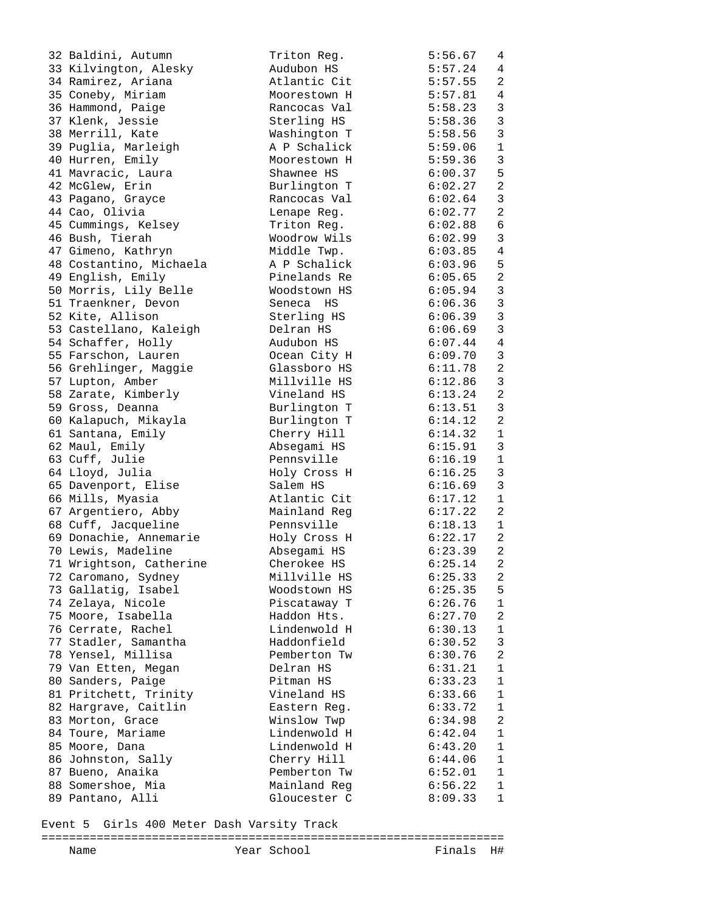| 32 Baldini, Autumn                      | Triton Req.                 | 5:56.67            | 4              |
|-----------------------------------------|-----------------------------|--------------------|----------------|
| 33 Kilvington, Alesky                   | Audubon HS                  | 5:57.24            | 4              |
| 34 Ramirez, Ariana                      | Atlantic Cit                | 5:57.55            | 2              |
| 35 Coneby, Miriam                       | Moorestown H                | 5:57.81            | 4              |
| 36 Hammond, Paige                       | Rancocas Val                | 5:58.23            | $\mathbf{3}$   |
| 37 Klenk, Jessie                        | Sterling HS                 | 5:58.36            | $\overline{3}$ |
| 38 Merrill, Kate                        | Washington T                | 5:58.56            | $\mathbf{3}$   |
| 39 Puglia, Marleigh                     | A P Schalick                | 5:59.06            | $\mathbf{1}$   |
| 40 Hurren, Emily                        | Moorestown H                | 5:59.36            | $\mathfrak{Z}$ |
| 41 Mavracic, Laura                      | Shawnee HS                  | 6:00.37            | 5              |
| 42 McGlew, Erin                         | Burlington T                | 6:02.27            | $\overline{a}$ |
| 43 Pagano, Grayce                       | Rancocas Val                | 6:02.64            | $\mathbf{3}$   |
| 44 Cao, Olivia                          | Lenape Req.                 | 6:02.77            | $\overline{a}$ |
| 45 Cummings, Kelsey                     | Triton Reg.                 | 6:02.88            | 6              |
| 46 Bush, Tierah                         | Woodrow Wils                | 6:02.99            | $\overline{3}$ |
| 47 Gimeno, Kathryn                      | Middle Twp.                 | 6:03.85            | $\overline{4}$ |
| 48 Costantino, Michaela                 | A P Schalick                | 6:03.96            | 5              |
| 49 English, Emily                       | Pinelands Re                | 6:05.65            | $\overline{a}$ |
| 50 Morris, Lily Belle                   | Woodstown HS                | 6:05.94            | $\mathbf{3}$   |
| 51 Traenkner, Devon                     | Seneca HS                   | 6:06.36            | $\overline{3}$ |
| 52 Kite, Allison                        | Sterling HS                 | 6:06.39            | $\mathfrak{Z}$ |
| 53 Castellano, Kaleigh                  | Delran HS                   | 6:06.69            | $\mathfrak{Z}$ |
| 54 Schaffer, Holly                      | Audubon HS                  | 6:07.44            | $\overline{4}$ |
| 55 Farschon, Lauren                     | Ocean City H                | 6:09.70            | $\overline{3}$ |
| 56 Grehlinger, Maggie                   | Glassboro HS                | 6:11.78            | $\overline{2}$ |
| 57 Lupton, Amber                        | Millville HS                | 6:12.86            | $\mathbf{3}$   |
| 58 Zarate, Kimberly                     | Vineland HS                 | 6:13.24            | 2              |
| 59 Gross, Deanna                        | Burlington T                | 6:13.51            | $\mathbf{3}$   |
| 60 Kalapuch, Mikayla                    | Burlington T                | 6:14.12            | 2              |
| 61 Santana, Emily                       | Cherry Hill                 | 6:14.32            | $\mathbf{1}$   |
| 62 Maul, Emily                          | Absegami HS                 | 6:15.91            | 3              |
| 63 Cuff, Julie                          | Pennsville                  | 6:16.19            | $\mathbf{1}$   |
| 64 Lloyd, Julia                         | Holy Cross H                | 6:16.25            | 3              |
| 65 Davenport, Elise                     | Salem HS                    | 6:16.69            | $\mathbf{3}$   |
| 66 Mills, Myasia                        | Atlantic Cit                | 6:17.12            | $\mathbf{1}$   |
| 67 Argentiero, Abby                     | Mainland Reg                | 6:17.22            | 2              |
| 68 Cuff, Jacqueline                     | Pennsville                  | 6:18.13            | $\mathbf{1}$   |
| 69 Donachie, Annemarie                  |                             | 6:22.17            | 2              |
| 70 Lewis, Madeline                      | Holy Cross H<br>Absegami HS | 6:23.39            | $\overline{2}$ |
|                                         |                             | 6:25.14            | $\overline{a}$ |
| 71 Wrightson, Catherine                 | Cherokee HS<br>Millville HS |                    |                |
| 72 Caromano, Sydney                     | Woodstown HS                | 6:25.33            | 2<br>5         |
| 73 Gallatig, Isabel                     | Piscataway T                | 6:25.35            | $\mathbf 1$    |
| 74 Zelaya, Nicole<br>75 Moore, Isabella |                             | 6:26.76<br>6:27.70 | 2              |
| 76 Cerrate, Rachel                      | Haddon Hts.<br>Lindenwold H | 6:30.13            | $\mathbf{1}$   |
| 77 Stadler, Samantha                    | Haddonfield                 |                    |                |
| 78 Yensel, Millisa                      |                             | 6:30.52            | 3              |
|                                         | Pemberton Tw                | 6:30.76            | 2              |
| 79 Van Etten, Megan                     | Delran HS                   | 6:31.21            | 1              |
| 80 Sanders, Paige                       | Pitman HS                   | 6:33.23            | $\mathbf 1$    |
| 81 Pritchett, Trinity                   | Vineland HS                 | 6:33.66            | $\mathbf{1}$   |
| 82 Hargrave, Caitlin                    | Eastern Reg.                | 6:33.72            | $\mathbf{1}$   |
| 83 Morton, Grace                        | Winslow Twp                 | 6:34.98            | 2              |
| 84 Toure, Mariame                       | Lindenwold H                | 6:42.04            | 1              |
| 85 Moore, Dana                          | Lindenwold H                | 6:43.20            | 1              |
| 86 Johnston, Sally                      | Cherry Hill                 | 6:44.06            | $\mathbf{1}$   |
| 87 Bueno, Anaika                        | Pemberton Tw                | 6:52.01            | 1              |
| 88 Somershoe, Mia                       | Mainland Reg                | 6:56.22            | 1              |
| 89 Pantano, Alli                        | Gloucester C                | 8:09.33            | 1              |

Event 5 Girls 400 Meter Dash Varsity Track

# =================================================================== Year School

|--|--|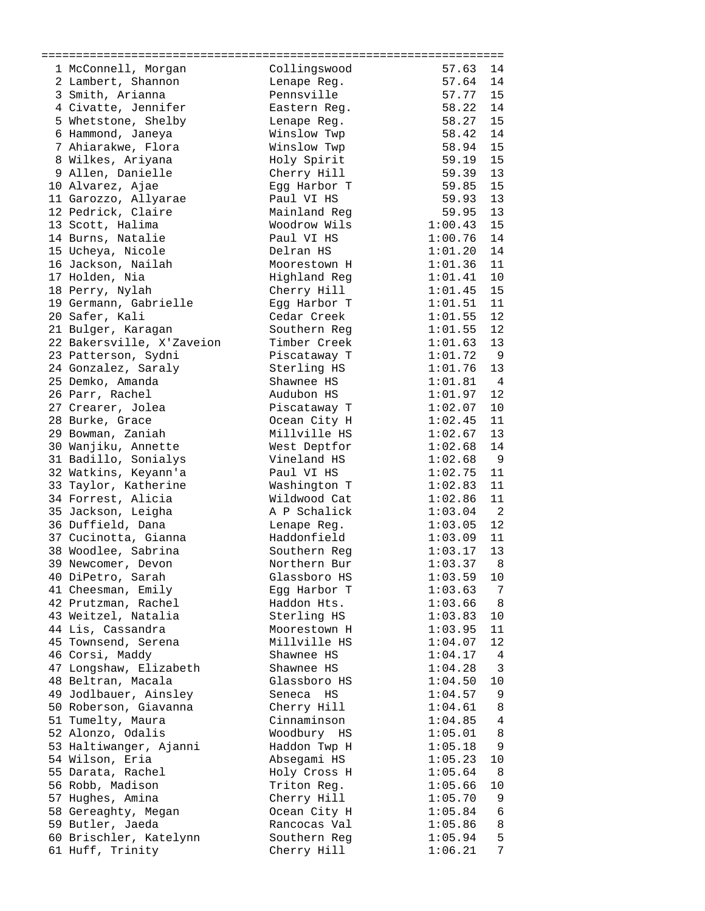| 1 McConnell, Morgan       | Collingswood | 14<br>57.63               |
|---------------------------|--------------|---------------------------|
| 2 Lambert, Shannon        | Lenape Reg.  | 57.64<br>14               |
| 3 Smith, Arianna          | Pennsville   | 15<br>57.77               |
| 4 Civatte, Jennifer       | Eastern Reg. | 58.22<br>14               |
| 5 Whetstone, Shelby       | Lenape Reg.  | 58.27<br>15               |
| 6 Hammond, Janeya         | Winslow Twp  | 14<br>58.42               |
| 7 Ahiarakwe, Flora        | Winslow Twp  | 15<br>58.94               |
| 8 Wilkes, Ariyana         | Holy Spirit  | 15<br>59.19               |
| 9 Allen, Danielle         | Cherry Hill  | 59.39<br>13               |
| 10 Alvarez, Ajae          | Egg Harbor T | 59.85<br>15               |
| 11 Garozzo, Allyarae      | Paul VI HS   | 59.93<br>13               |
| 12 Pedrick, Claire        | Mainland Reg | 13<br>59.95               |
| 13 Scott, Halima          | Woodrow Wils | 1:00.43<br>15             |
| 14 Burns, Natalie         | Paul VI HS   | 14<br>1:00.76             |
| 15 Ucheya, Nicole         | Delran HS    | 1:01.20<br>14             |
| 16 Jackson, Nailah        | Moorestown H | 1:01.36<br>11             |
| 17 Holden, Nia            | Highland Reg | 1:01.41<br>10             |
| 18 Perry, Nylah           | Cherry Hill  | 1:01.45<br>15             |
| 19 Germann, Gabrielle     | Eqq Harbor T | 11<br>1:01.51             |
| 20 Safer, Kali            | Cedar Creek  | 12<br>1:01.55             |
| 21 Bulger, Karagan        | Southern Reg | 12<br>1:01.55             |
| 22 Bakersville, X'Zaveion | Timber Creek | 13<br>1:01.63             |
| 23 Patterson, Sydni       | Piscataway T | 1:01.72<br>9              |
| 24 Gonzalez, Saraly       | Sterling HS  | 1:01.76<br>13             |
| 25 Demko, Amanda          | Shawnee HS   | 1:01.81<br>$\overline{4}$ |
| 26 Parr, Rachel           | Audubon HS   | 1:01.97<br>12             |
| 27 Crearer, Jolea         | Piscataway T | 10<br>1:02.07             |
| 28 Burke, Grace           | Ocean City H | 1:02.45<br>11             |
| 29 Bowman, Zaniah         | Millville HS | 1:02.67<br>13             |
| 30 Wanjiku, Annette       | West Deptfor | 14<br>1:02.68             |
| 31 Badillo, Sonialys      | Vineland HS  | 9<br>1:02.68              |
| 32 Watkins, Keyann'a      | Paul VI HS   | 1:02.75<br>11             |
| 33 Taylor, Katherine      | Washington T | 1:02.83<br>11             |
| 34 Forrest, Alicia        | Wildwood Cat | 1:02.86<br>11             |
| 35 Jackson, Leigha        | A P Schalick | 2<br>1:03.04              |
| 36 Duffield, Dana         | Lenape Reg.  | 12<br>1:03.05             |
| 37 Cucinotta, Gianna      | Haddonfield  | 11<br>1:03.09             |
| 38 Woodlee, Sabrina       | Southern Reg | 13<br>1:03.17             |
| 39 Newcomer, Devon        | Northern Bur | 1:03.37<br>8 <sup>8</sup> |
| 40 DiPetro, Sarah         | Glassboro HS | 1:03.59<br>10             |
| 41 Cheesman, Emily        | Egg Harbor T | 1:03.63<br>7              |
| 42 Prutzman, Rachel       | Haddon Hts.  | 1:03.66<br>8              |
| 43 Weitzel, Natalia       | Sterling HS  | 1:03.83<br>10             |
| 44 Lis, Cassandra         | Moorestown H | 1:03.95<br>11             |
| 45 Townsend, Serena       | Millville HS | 12<br>1:04.07             |
| 46 Corsi, Maddy           | Shawnee HS   | 1:04.17<br>4              |
| 47 Longshaw, Elizabeth    | Shawnee HS   | 1:04.28<br>3              |
| 48 Beltran, Macala        | Glassboro HS | 1:04.50<br>10             |
| 49 Jodlbauer, Ainsley     | Seneca HS    | 1:04.57<br>9              |
| 50 Roberson, Giavanna     | Cherry Hill  | 1:04.61<br>8              |
| 51 Tumelty, Maura         | Cinnaminson  | 1:04.85<br>4              |
| 52 Alonzo, Odalis         | Woodbury HS  | 1:05.01<br>8              |
| 53 Haltiwanger, Ajanni    | Haddon Twp H | 1:05.18<br>9              |
| 54 Wilson, Eria           | Absegami HS  | 1:05.23<br>10             |
| 55 Darata, Rachel         | Holy Cross H | 1:05.64<br>8              |
| 56 Robb, Madison          | Triton Reg.  | 1:05.66<br>10             |
| 57 Hughes, Amina          | Cherry Hill  | 1:05.70<br>9              |
| 58 Gereaghty, Megan       | Ocean City H | 1:05.84<br>6              |
| 59 Butler, Jaeda          | Rancocas Val | 1:05.86<br>8              |
| 60 Brischler, Katelynn    | Southern Reg | 5<br>1:05.94              |
| 61 Huff, Trinity          | Cherry Hill  | 7<br>1:06.21              |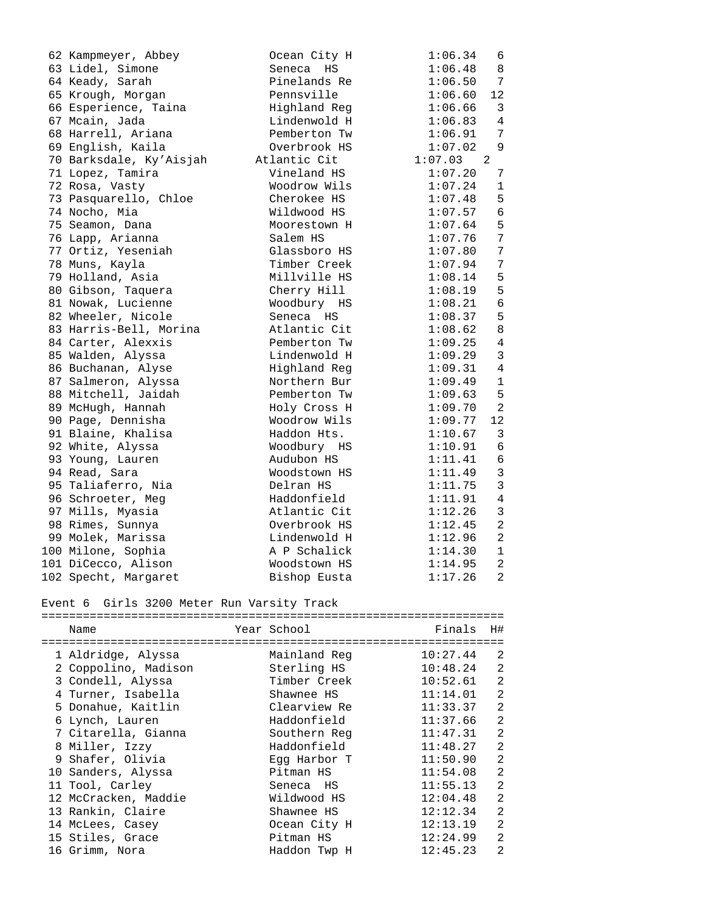| 62 Kampmeyer, Abbey     | Ocean City H | 1:06.34   | 6              |
|-------------------------|--------------|-----------|----------------|
| 63 Lidel, Simone        | Seneca<br>HS | 1:06.48   | 8              |
| 64 Keady, Sarah         | Pinelands Re | 1:06.50   | 7              |
| 65 Krough, Morgan       | Pennsville   | 1:06.60   | 12             |
| 66 Esperience, Taina    | Highland Reg | 1:06.66   | 3              |
| 67 Mcain, Jada          | Lindenwold H | 1:06.83   | 4              |
| 68 Harrell, Ariana      | Pemberton Tw | 1:06.91   | 7              |
| 69 English, Kaila       | Overbrook HS | 1:07.02   | 9              |
| 70 Barksdale, Ky'Aisjah | Atlantic Cit | 1:07.03 2 |                |
| 71 Lopez, Tamira        | Vineland HS  | 1:07.20   | 7              |
| 72 Rosa, Vasty          | Woodrow Wils | 1:07.24   | $\mathbf 1$    |
| 73 Pasquarello, Chloe   | Cherokee HS  | 1:07.48   | 5              |
| 74 Nocho, Mia           | Wildwood HS  | 1:07.57   | 6              |
| 75 Seamon, Dana         | Moorestown H | 1:07.64   | 5              |
| 76 Lapp, Arianna        | Salem HS     | 1:07.76   | 7              |
| 77 Ortiz, Yeseniah      | Glassboro HS | 1:07.80   | 7              |
| 78 Muns, Kayla          | Timber Creek | 1:07.94   | 7              |
| 79 Holland, Asia        | Millville HS | 1:08.14   | 5              |
| 80 Gibson, Taquera      | Cherry Hill  | 1:08.19   | 5              |
| 81 Nowak, Lucienne      | Woodbury HS  | 1:08.21   | 6              |
| 82 Wheeler, Nicole      | Seneca HS    | 1:08.37   | 5              |
| 83 Harris-Bell, Morina  | Atlantic Cit | 1:08.62   | 8              |
| 84 Carter, Alexxis      | Pemberton Tw | 1:09.25   | $\overline{4}$ |
| 85 Walden, Alyssa       | Lindenwold H | 1:09.29   | 3              |
| 86 Buchanan, Alyse      | Highland Reg | 1:09.31   | $\overline{4}$ |
| 87 Salmeron, Alyssa     | Northern Bur | 1:09.49   | 1              |
| 88 Mitchell, Jaidah     | Pemberton Tw | 1:09.63   | 5              |
| 89 McHugh, Hannah       | Holy Cross H | 1:09.70   | 2              |
| 90 Page, Dennisha       | Woodrow Wils | 1:09.77   | 12             |
| 91 Blaine, Khalisa      | Haddon Hts.  | 1:10.67   | $\mathbf{3}$   |
| 92 White, Alyssa        | Woodbury HS  | 1:10.91   | 6              |
| 93 Young, Lauren        | Audubon HS   | 1:11.41   | $\sqrt{6}$     |
| 94 Read, Sara           | Woodstown HS | 1:11.49   | $\mathfrak{Z}$ |
| 95 Taliaferro, Nia      | Delran HS    | 1:11.75   | $\mathfrak{Z}$ |
| 96 Schroeter, Meg       | Haddonfield  | 1:11.91   | 4              |
| 97 Mills, Myasia        | Atlantic Cit | 1:12.26   | 3              |
| 98 Rimes, Sunnya        | Overbrook HS | 1:12.45   | $\overline{a}$ |
| 99 Molek, Marissa       | Lindenwold H | 1:12.96   | $\overline{2}$ |
| 100 Milone, Sophia      | A P Schalick | 1:14.30   | $\mathbf{1}$   |
| 101 DiCecco, Alison     | Woodstown HS | 1:14.95   | $\overline{2}$ |
| 102 Specht, Margaret    | Bishop Eusta | 1:17.26   | 2              |
|                         |              |           |                |

### Event 6 Girls 3200 Meter Run Varsity Track

| Name                 |  | Year School  | Finals   | H#             |  |
|----------------------|--|--------------|----------|----------------|--|
| 1 Aldridge, Alyssa   |  | Mainland Reg | 10:27.44 | $\mathfrak{D}$ |  |
|                      |  |              |          |                |  |
| 2 Coppolino, Madison |  | Sterling HS  | 10:48.24 | $\mathfrak{D}$ |  |
| 3 Condell, Alyssa    |  | Timber Creek | 10:52.61 | $\mathfrak{D}$ |  |
| 4 Turner, Isabella   |  | Shawnee HS   | 11:14.01 | $\overline{2}$ |  |
| 5 Donahue, Kaitlin   |  | Clearview Re | 11:33.37 | $\mathfrak{D}$ |  |
| 6 Lynch, Lauren      |  | Haddonfield  | 11:37.66 | $\mathfrak{D}$ |  |
| 7 Citarella, Gianna  |  | Southern Reg | 11:47.31 | $\mathfrak{D}$ |  |
| 8 Miller, Izzy       |  | Haddonfield  | 11:48.27 | $\mathfrak{D}$ |  |
| 9 Shafer, Olivia     |  | Eqq Harbor T | 11:50.90 | $\mathfrak{D}$ |  |
| 10 Sanders, Alyssa   |  | Pitman HS    | 11:54.08 | $\overline{2}$ |  |
| 11 Tool, Carley      |  | Seneca HS    | 11:55.13 | $\mathfrak{D}$ |  |
| 12 McCracken, Maddie |  | Wildwood HS  | 12:04.48 | $\mathfrak{D}$ |  |
| 13 Rankin, Claire    |  | Shawnee HS   | 12:12.34 | $\mathfrak{D}$ |  |
| 14 McLees, Casey     |  | Ocean City H | 12:13.19 | $\mathcal{L}$  |  |
| 15 Stiles, Grace     |  | Pitman HS    | 12:24.99 | $\mathcal{L}$  |  |
| 16 Grimm, Nora       |  | Haddon Twp H | 12:45.23 | $\mathfrak{D}$ |  |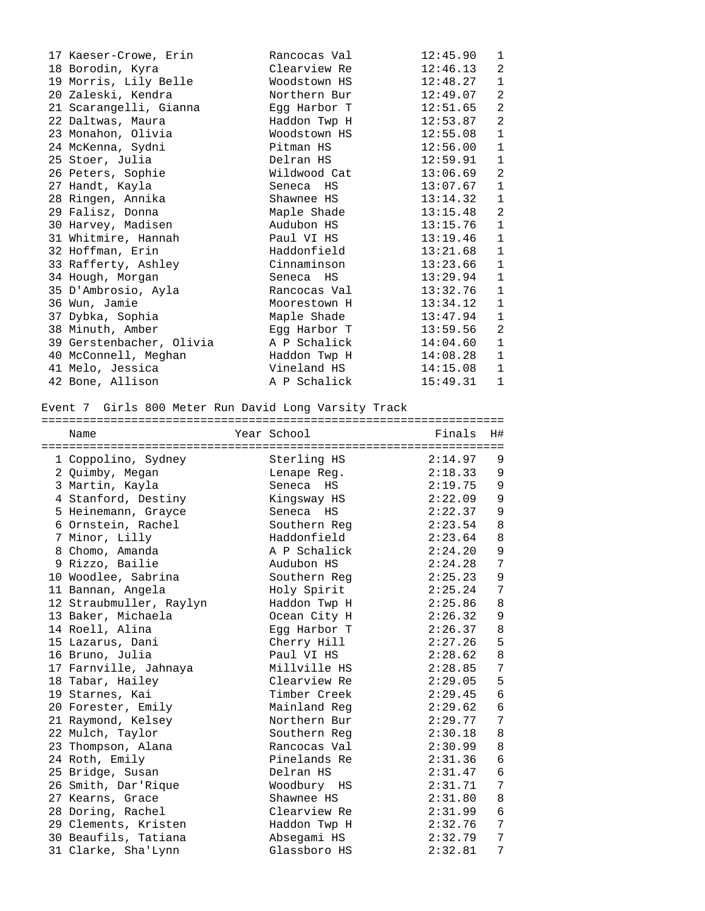| 17 Kaeser-Crowe, Erin    | Rancocas Val | 12:45.90 | $\mathbf{1}$   |
|--------------------------|--------------|----------|----------------|
| 18 Borodin, Kyra         | Clearview Re | 12:46.13 | 2              |
| 19 Morris, Lily Belle    | Woodstown HS | 12:48.27 | $\mathbf{1}$   |
| 20 Zaleski, Kendra       | Northern Bur | 12:49.07 | 2              |
| 21 Scarangelli, Gianna   | Egg Harbor T | 12:51.65 | 2              |
| 22 Daltwas, Maura        | Haddon Twp H | 12:53.87 | $\overline{2}$ |
| 23 Monahon, Olivia       | Woodstown HS | 12:55.08 | $1\,$          |
| 24 McKenna, Sydni        | Pitman HS    | 12:56.00 | $\mathbf{1}$   |
| 25 Stoer, Julia          | Delran HS    | 12:59.91 | $\mathbf{1}$   |
| 26 Peters, Sophie        | Wildwood Cat | 13:06.69 | $\overline{2}$ |
| 27 Handt, Kayla          | Seneca HS    | 13:07.67 | $\mathbf{1}$   |
| 28 Ringen, Annika        | Shawnee HS   | 13:14.32 | $\mathbf{1}$   |
| 29 Falisz, Donna         | Maple Shade  | 13:15.48 | 2              |
| 30 Harvey, Madisen       | Audubon HS   | 13:15.76 | $1\,$          |
| 31 Whitmire, Hannah      | Paul VI HS   | 13:19.46 | $\mathbf{1}$   |
| 32 Hoffman, Erin         | Haddonfield  | 13:21.68 | $\mathbf{1}$   |
| 33 Rafferty, Ashley      | Cinnaminson  | 13:23.66 | $\mathbf{1}$   |
| 34 Hough, Morgan         | Seneca HS    | 13:29.94 | $\mathbf{1}$   |
| 35 D'Ambrosio, Ayla      | Rancocas Val | 13:32.76 | $\mathbf{1}$   |
| 36 Wun, Jamie            | Moorestown H | 13:34.12 | $\mathbf 1$    |
| 37 Dybka, Sophia         | Maple Shade  | 13:47.94 | $\mathbf 1$    |
| 38 Minuth, Amber         | Egg Harbor T | 13:59.56 | $\mathbf{2}$   |
| 39 Gerstenbacher, Olivia | A P Schalick | 14:04.60 | $\mathbf{1}$   |
| 40 McConnell, Meghan     | Haddon Twp H | 14:08.28 | $\mathbf{1}$   |
| 41 Melo, Jessica         | Vineland HS  | 14:15.08 | $\mathbf{1}$   |
| 42 Bone, Allison         | A P Schalick | 15:49.31 | $\mathbf{1}$   |
|                          |              |          |                |

# Event 7 Girls 800 Meter Run David Long Varsity Track

| Name                    | Year School  | Finals  | H# |
|-------------------------|--------------|---------|----|
| 1 Coppolino, Sydney     | Sterling HS  | 2:14.97 | 9  |
| 2 Quimby, Megan         | Lenape Reg.  | 2:18.33 | 9  |
| 3 Martin, Kayla         | Seneca HS    | 2:19.75 | 9  |
| 4 Stanford, Destiny     | Kingsway HS  | 2:22.09 | 9  |
| 5 Heinemann, Grayce     | Seneca HS    | 2:22.37 | 9  |
| 6 Ornstein, Rachel      | Southern Reg | 2:23.54 | 8  |
| 7 Minor, Lilly          | Haddonfield  | 2:23.64 | 8  |
| 8 Chomo, Amanda         | A P Schalick | 2:24.20 | 9  |
| 9 Rizzo, Bailie         | Audubon HS   | 2:24.28 | 7  |
| 10 Woodlee, Sabrina     | Southern Reg | 2:25.23 | 9  |
| 11 Bannan, Angela       | Holy Spirit  | 2:25.24 | 7  |
| 12 Straubmuller, Raylyn | Haddon Twp H | 2:25.86 | 8  |
| 13 Baker, Michaela      | Ocean City H | 2:26.32 | 9  |
| 14 Roell, Alina         | Egg Harbor T | 2:26.37 | 8  |
| 15 Lazarus, Dani        | Cherry Hill  | 2:27.26 | 5  |
| 16 Bruno, Julia         | Paul VI HS   | 2:28.62 | 8  |
| 17 Farnville, Jahnaya   | Millville HS | 2:28.85 | 7  |
| 18 Tabar, Hailey        | Clearview Re | 2:29.05 | 5  |
| 19 Starnes, Kai         | Timber Creek | 2:29.45 | 6  |
| 20 Forester, Emily      | Mainland Reg | 2:29.62 | 6  |
| 21 Raymond, Kelsey      | Northern Bur | 2:29.77 | 7  |
| 22 Mulch, Taylor        | Southern Reg | 2:30.18 | 8  |
| 23 Thompson, Alana      | Rancocas Val | 2:30.99 | 8  |
| 24 Roth, Emily          | Pinelands Re | 2:31.36 | 6  |
| 25 Bridge, Susan        | Delran HS    | 2:31.47 | 6  |
| 26 Smith, Dar'Rique     | Woodbury HS  | 2:31.71 | 7  |
| 27 Kearns, Grace        | Shawnee HS   | 2:31.80 | 8  |
| 28 Doring, Rachel       | Clearview Re | 2:31.99 | 6  |
| 29 Clements, Kristen    | Haddon Twp H | 2:32.76 | 7  |
| 30 Beaufils, Tatiana    | Absegami HS  | 2:32.79 | 7  |
| 31 Clarke, Sha'Lynn     | Glassboro HS | 2:32.81 | 7  |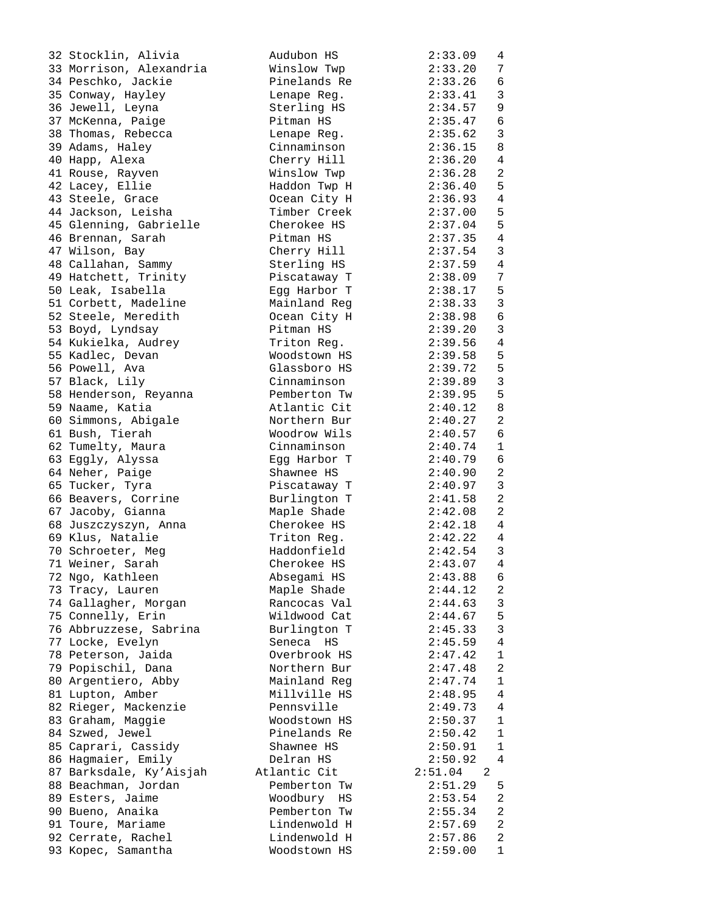| 32 Stocklin, Alivia     | Audubon HS   | 2:33.09<br>4                          |
|-------------------------|--------------|---------------------------------------|
| 33 Morrison, Alexandria | Winslow Twp  | 2:33.20<br>7                          |
| 34 Peschko, Jackie      | Pinelands Re | 6<br>2:33.26                          |
| 35 Conway, Hayley       |              | $\mathbf{3}$<br>2:33.41               |
|                         | Lenape Reg.  | 2:34.57                               |
| 36 Jewell, Leyna        | Sterling HS  | 9                                     |
| 37 McKenna, Paige       | Pitman HS    | 6<br>2:35.47                          |
| 38 Thomas, Rebecca      | Lenape Reg.  | 3<br>2:35.62                          |
| 39 Adams, Haley         | Cinnaminson  | 2:36.15<br>8                          |
| 40 Happ, Alexa          | Cherry Hill  | 2:36.20<br>4                          |
| 41 Rouse, Rayven        | Winslow Twp  | 2<br>2:36.28                          |
| 42 Lacey, Ellie         | Haddon Twp H | 5<br>2:36.40                          |
| 43 Steele, Grace        | Ocean City H | $\overline{4}$<br>2:36.93             |
| 44 Jackson, Leisha      | Timber Creek | $\overline{5}$<br>2:37.00             |
| 45 Glenning, Gabrielle  | Cherokee HS  | $\overline{5}$<br>2:37.04             |
| 46 Brennan, Sarah       | Pitman HS    | 2:37.35<br>$\overline{4}$             |
| 47 Wilson, Bay          | Cherry Hill  | $\overline{3}$<br>2:37.54             |
| 48 Callahan, Sammy      | Sterling HS  | $\overline{4}$<br>2:37.59             |
| 49 Hatchett, Trinity    | Piscataway T | 7<br>2:38.09                          |
| 50 Leak, Isabella       | Egg Harbor T | 5<br>2:38.17                          |
| 51 Corbett, Madeline    | Mainland Reg | $\mathbf{3}$<br>2:38.33               |
|                         |              | $\sqrt{6}$<br>2:38.98                 |
| 52 Steele, Meredith     | Ocean City H |                                       |
| 53 Boyd, Lyndsay        | Pitman HS    | $\mathfrak{Z}$<br>2:39.20             |
| 54 Kukielka, Audrey     | Triton Req.  | $\overline{4}$<br>2:39.56             |
| 55 Kadlec, Devan        | Woodstown HS | 2:39.58<br>5                          |
| 56 Powell, Ava          | Glassboro HS | $\overline{5}$<br>2:39.72             |
| 57 Black, Lily          | Cinnaminson  | $\mathfrak{Z}$<br>2:39.89             |
| 58 Henderson, Reyanna   | Pemberton Tw | 5<br>2:39.95                          |
| 59 Naame, Katia         | Atlantic Cit | 8<br>2:40.12                          |
| 60 Simmons, Abigale     | Northern Bur | 2<br>2:40.27                          |
| 61 Bush, Tierah         | Woodrow Wils | 6<br>2:40.57                          |
| 62 Tumelty, Maura       | Cinnaminson  | $\mathbf 1$<br>2:40.74                |
| 63 Eggly, Alyssa        | Egg Harbor T | 2:40.79<br>6                          |
| 64 Neher, Paige         | Shawnee HS   | $\overline{a}$<br>2:40.90             |
| 65 Tucker, Tyra         | Piscataway T | 3<br>2:40.97                          |
| 66 Beavers, Corrine     | Burlington T | 2<br>2:41.58                          |
| 67 Jacoby, Gianna       | Maple Shade  | 2:42.08<br>2                          |
| 68 Juszczyszyn, Anna    | Cherokee HS  | 2:42.18<br>4                          |
| 69 Klus, Natalie        | Triton Reg.  | 2:42.22<br>4                          |
| 70 Schroeter, Meg       | Haddonfield  | 2:42.54<br>$\overline{3}$             |
|                         | Cherokee HS  | 2:43.07 4                             |
| 71 Weiner, Sarah        |              |                                       |
| 72 Ngo, Kathleen        | Absegami HS  | 2:43.88<br>6                          |
| 73 Tracy, Lauren        | Maple Shade  | 2:44.12<br>2                          |
| 74 Gallagher, Morgan    | Rancocas Val | 2:44.63<br>3                          |
| 75 Connelly, Erin       | Wildwood Cat | 5<br>2:44.67                          |
| 76 Abbruzzese, Sabrina  | Burlington T | 2:45.33<br>3                          |
| 77 Locke, Evelyn        | Seneca HS    | 4<br>2:45.59                          |
| 78 Peterson, Jaida      | Overbrook HS | 1<br>2:47.42                          |
| 79 Popischil, Dana      | Northern Bur | 2:47.48<br>2                          |
| 80 Argentiero, Abby     | Mainland Reg | 2:47.74<br>$\mathbf{1}$               |
| 81 Lupton, Amber        | Millville HS | 2:48.95<br>4                          |
| 82 Rieger, Mackenzie    | Pennsville   | 2:49.73<br>4                          |
| 83 Graham, Maggie       | Woodstown HS | 2:50.37<br>1                          |
| 84 Szwed, Jewel         | Pinelands Re | 2:50.42<br>1                          |
| 85 Caprari, Cassidy     | Shawnee HS   | 2:50.91<br>1                          |
| 86 Hagmaier, Emily      | Delran HS    | 2:50.92<br>4                          |
| 87 Barksdale, Ky'Aisjah | Atlantic Cit | 2:51.04<br>$\overline{\phantom{0}}^2$ |
| 88 Beachman, Jordan     | Pemberton Tw | 2:51.29<br>5                          |
| 89 Esters, Jaime        | Woodbury HS  | 2:53.54<br>2                          |
| 90 Bueno, Anaika        | Pemberton Tw | 2:55.34<br>2                          |
| 91 Toure, Mariame       | Lindenwold H | 2<br>2:57.69                          |
| 92 Cerrate, Rachel      | Lindenwold H | 2<br>2:57.86                          |
| 93 Kopec, Samantha      | Woodstown HS | 1                                     |
|                         |              | 2:59.00                               |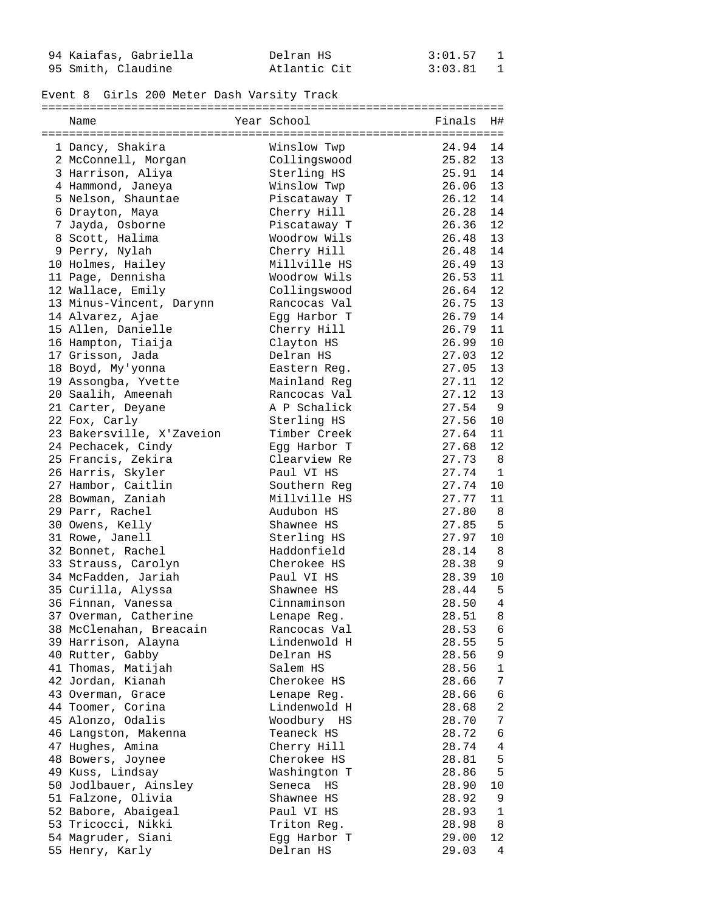| 94 Kaiafas, Gabriella | Delran HS    | $3:01.57$ 1 |  |
|-----------------------|--------------|-------------|--|
| 95 Smith, Claudine    | Atlantic Cit | 3:03.81 1   |  |

### Event 8 Girls 200 Meter Dash Varsity Track

===================================================================

| Name                                  | Year School               | Finals         | H#             |
|---------------------------------------|---------------------------|----------------|----------------|
| 1 Dancy, Shakira                      | Winslow Twp               | 24.94          | 14             |
| 2 McConnell, Morgan                   | Collingswood              | 25.82          | 13             |
| 3 Harrison, Aliya                     | Sterling HS               | 25.91          | 14             |
| 4 Hammond, Janeya                     | Winslow Twp               | 26.06          | 13             |
| 5 Nelson, Shauntae                    | Piscataway T              | 26.12          | 14             |
| 6 Drayton, Maya                       | Cherry Hill               | 26.28          | 14             |
| 7 Jayda, Osborne                      | Piscataway T              | 26.36          | 12             |
| 8 Scott, Halima                       | Woodrow Wils              | 26.48          | 13             |
| 9 Perry, Nylah                        | Cherry Hill               | 26.48          | 14             |
| 10 Holmes, Hailey                     | Millville HS              | 26.49          | 13             |
| 11 Page, Dennisha                     | Woodrow Wils              | 26.53          | 11             |
| 12 Wallace, Emily                     | Collingswood              | 26.64          | 12             |
| 13 Minus-Vincent, Darynn              | Rancocas Val              | 26.75          | 13             |
| 14 Alvarez, Ajae                      | Egg Harbor T              | 26.79          | 14             |
| 15 Allen, Danielle                    | Cherry Hill               | 26.79          | 11             |
| 16 Hampton, Tiaija                    | Clayton HS                | 26.99          | 10             |
| 17 Grisson, Jada                      | Delran HS                 | 27.03          | 12             |
| 18 Boyd, My'yonna                     | Eastern Reg.              | 27.05          | 13             |
| 19 Assongba, Yvette                   | Mainland Reg              | 27.11          | 12             |
| 20 Saalih, Ameenah                    | Rancocas Val              | 27.12          | 13             |
| 21 Carter, Deyane                     | A P Schalick              | 27.54          | $\overline{9}$ |
| 22 Fox, Carly                         | Sterling HS               | 27.56          | 10             |
| 23 Bakersville, X'Zaveion             | Timber Creek              | 27.64          | 11             |
| 24 Pechacek, Cindy                    | Egg Harbor T              | 27.68          | 12             |
| 25 Francis, Zekira                    | Clearview Re              | 27.73          | 8              |
| 26 Harris, Skyler                     | Paul VI HS                | 27.74          | 1              |
| 27 Hambor, Caitlin                    | Southern Reg              | 27.74          | 10             |
| 28 Bowman, Zaniah                     | Millville HS              | 27.77          | 11             |
| 29 Parr, Rachel                       | Audubon HS                | 27.80          | 8              |
| 30 Owens, Kelly                       | Shawnee HS                | 27.85          | 5              |
| 31 Rowe, Janell                       | Sterling HS               | 27.97          | 10             |
| 32 Bonnet, Rachel                     | Haddonfield               | 28.14          | - 8            |
| 33 Strauss, Carolyn                   | Cherokee HS               | 28.38          | 9              |
| 34 McFadden, Jariah                   | Paul VI HS                | 28.39          | 10             |
| 35 Curilla, Alyssa                    | Shawnee HS                | 28.44          | - 5            |
| 36 Finnan, Vanessa                    | Cinnaminson               | 28.50          | 4              |
| 37 Overman, Catherine                 | Lenape Reg.               | 28.51          | 8              |
| 38 McClenahan, Breacain               | Rancocas Val              | 28.53 6        |                |
| 39 Harrison, Alayna                   | Lindenwold H              | 28.55          | 5              |
| 40 Rutter, Gabby                      | Delran HS                 | 28.56          | 9              |
| 41 Thomas, Matijah                    | Salem HS                  | 28.56          | $\mathbf{1}$   |
| 42 Jordan, Kianah                     | Cherokee HS               | 28.66          | 7              |
| 43 Overman, Grace                     | Lenape Req.               | 28.66          | 6              |
| 44 Toomer, Corina                     | Lindenwold H              | 28.68          | 2              |
| 45 Alonzo, Odalis                     | Woodbury HS               | 28.70          | 7              |
| 46 Langston, Makenna                  | Teaneck HS                | 28.72          | 6              |
| 47 Hughes, Amina                      | Cherry Hill               | 28.74          | 4              |
| 48 Bowers, Joynee                     | Cherokee HS               | 28.81          | 5              |
| 49 Kuss, Lindsay                      | Washington T              | 28.86          | 5              |
| 50 Jodlbauer, Ainsley                 | Seneca HS                 | 28.90          | 10             |
| 51 Falzone, Olivia                    | Shawnee HS                | 28.92          | 9              |
| 52 Babore, Abaigeal                   | Paul VI HS                | 28.93          | $\mathbf{1}$   |
| 53 Tricocci, Nikki                    | Triton Reg.               | 28.98          | 8<br>12        |
| 54 Magruder, Siani<br>55 Henry, Karly | Egg Harbor T<br>Delran HS | 29.00<br>29.03 | 4              |
|                                       |                           |                |                |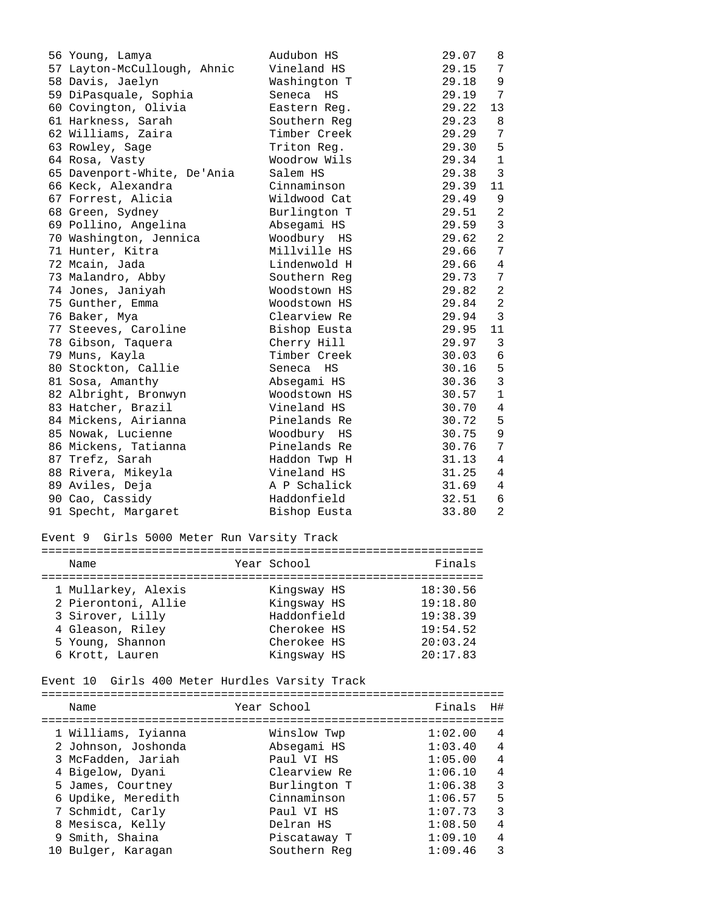| 56 Young, Lamya             | Audubon HS   | 29.07 | 8               |
|-----------------------------|--------------|-------|-----------------|
| 57 Layton-McCullough, Ahnic | Vineland HS  | 29.15 | 7               |
| 58 Davis, Jaelyn            | Washington T | 29.18 | 9               |
| 59 DiPasquale, Sophia       | Seneca HS    | 29.19 | 7               |
| 60 Covington, Olivia        | Eastern Req. | 29.22 | 13              |
| 61 Harkness, Sarah          | Southern Reg | 29.23 | 8               |
| 62 Williams, Zaira          | Timber Creek | 29.29 | 7               |
| 63 Rowley, Sage             | Triton Reg.  | 29.30 | 5               |
| 64 Rosa, Vasty              | Woodrow Wils | 29.34 | $\mathbf{1}$    |
| 65 Davenport-White, De'Ania | Salem HS     | 29.38 | 3               |
| 66 Keck, Alexandra          | Cinnaminson  | 29.39 | 11              |
| 67 Forrest, Alicia          | Wildwood Cat | 29.49 | 9               |
| 68 Green, Sydney            | Burlington T | 29.51 | 2               |
| 69 Pollino, Angelina        | Absegami HS  | 29.59 | $\mathbf{3}$    |
| 70 Washington, Jennica      | Woodbury HS  | 29.62 | $\overline{2}$  |
| 71 Hunter, Kitra            | Millville HS | 29.66 | 7               |
| 72 Mcain, Jada              | Lindenwold H | 29.66 | 4               |
| 73 Malandro, Abby           | Southern Reg | 29.73 | 7               |
| 74 Jones, Janiyah           | Woodstown HS | 29.82 | 2               |
| 75 Gunther, Emma            | Woodstown HS | 29.84 | 2               |
| 76 Baker, Mya               | Clearview Re | 29.94 | $\mathbf{3}$    |
| 77 Steeves, Caroline        | Bishop Eusta | 29.95 | 11              |
| 78 Gibson, Taquera          | Cherry Hill  | 29.97 | 3               |
| 79 Muns, Kayla              | Timber Creek | 30.03 | $6\overline{6}$ |
| 80 Stockton, Callie         | Seneca HS    | 30.16 | $\overline{5}$  |
| 81 Sosa, Amanthy            | Absegami HS  | 30.36 | $\mathfrak{Z}$  |
| 82 Albright, Bronwyn        | Woodstown HS | 30.57 | $\mathbf{1}$    |
| 83 Hatcher, Brazil          | Vineland HS  | 30.70 | 4               |
| 84 Mickens, Airianna        | Pinelands Re | 30.72 | 5               |
| 85 Nowak, Lucienne          | Woodbury HS  | 30.75 | 9               |
| 86 Mickens, Tatianna        | Pinelands Re | 30.76 | 7               |
| 87 Trefz, Sarah             | Haddon Twp H | 31.13 | 4               |
| 88 Rivera, Mikeyla          | Vineland HS  | 31.25 | 4               |
| 89 Aviles, Deja             | A P Schalick | 31.69 | $\overline{4}$  |
| 90 Cao, Cassidy             | Haddonfield  | 32.51 | 6               |
| 91 Specht, Margaret         | Bishop Eusta | 33.80 | $\mathfrak{D}$  |
|                             |              |       |                 |

# Event 9 Girls 5000 Meter Run Varsity Track

| Name                | Year School | Finals   |
|---------------------|-------------|----------|
|                     |             |          |
| 1 Mullarkey, Alexis | Kingsway HS | 18:30.56 |
| 2 Pierontoni, Allie | Kingsway HS | 19:18.80 |
| 3 Sirover, Lilly    | Haddonfield | 19:38.39 |
| 4 Gleason, Riley    | Cherokee HS | 19:54.52 |
| 5 Young, Shannon    | Cherokee HS | 20:03.24 |
| 6 Krott, Lauren     | Kingsway HS | 20:17.83 |

## Event 10 Girls 400 Meter Hurdles Varsity Track

===================================================================

| Name                | Year School  | Finals  | H# |
|---------------------|--------------|---------|----|
|                     |              |         |    |
| 1 Williams, Iyianna | Winslow Twp  | 1:02.00 | 4  |
| 2 Johnson, Joshonda | Absegami HS  | 1:03.40 | 4  |
| 3 McFadden, Jariah  | Paul VI HS   | 1:05.00 | 4  |
| 4 Bigelow, Dyani    | Clearview Re | 1:06.10 | 4  |
| 5 James, Courtney   | Burlington T | 1:06.38 | 3  |
| 6 Updike, Meredith  | Cinnaminson  | 1:06.57 | 5  |
| 7 Schmidt, Carly    | Paul VI HS   | 1:07.73 | 3  |
| 8 Mesisca, Kelly    | Delran HS    | 1:08.50 | 4  |
| 9 Smith, Shaina     | Piscataway T | 1:09.10 | 4  |
| 10 Bulger, Karagan  | Southern Reg | 1:09.46 | 3  |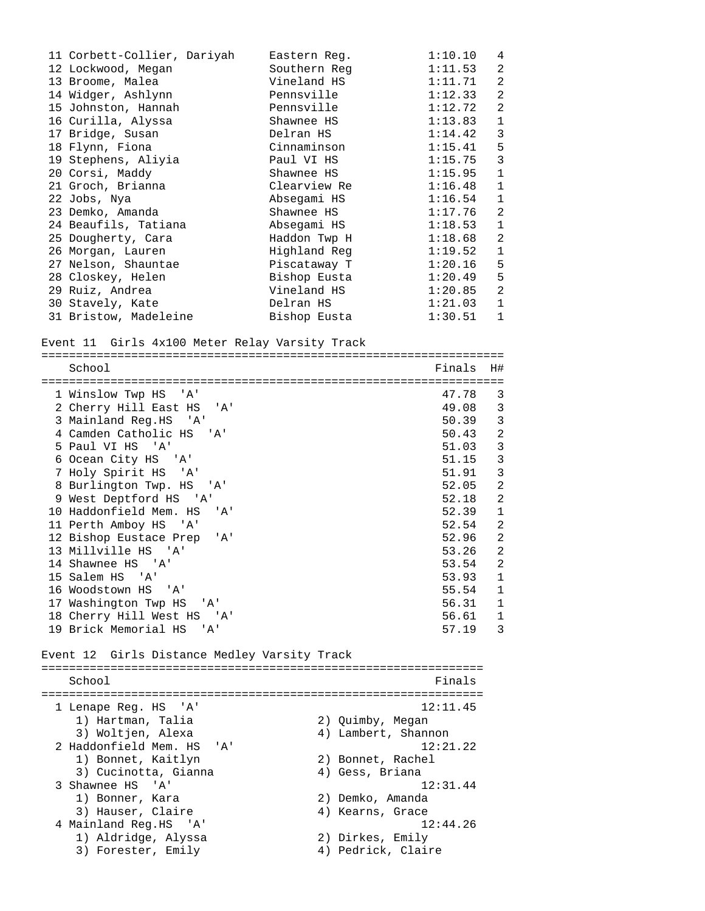11 Corbett-Collier, Dariyah Eastern Reg. 1:10.10 4 12 Lockwood, Megan Southern Reg 1:11.53 2 13 Broome, Malea Vineland HS 1:11.71 2 14 Widger, Ashlynn Pennsville 1:12.33 2 15 Johnston, Hannah Pennsville 1:12.72 2 16 Curilla, Alyssa Shawnee HS 1:13.83 1 17 Bridge, Susan Delran HS 1:14.42 3 18 Flynn, Fiona Cinnaminson 1:15.41 5 19 Stephens, Aliyia Paul VI HS 1:15.75 3 20 Corsi, Maddy Shawnee HS 1:15.95 1 21 Groch, Brianna Clearview Re 1:16.48 1 22 Jobs, Nya Absegami HS 1:16.54 1 23 Demko, Amanda Shawnee HS 1:17.76 2 24 Beaufils, Tatiana Absegami HS 1:18.53 1 25 Dougherty, Cara Haddon Twp H 1:18.68 2 26 Morgan, Lauren Highland Reg 1:19.52 1 27 Nelson, Shauntae Piscataway T 1:20.16 5 28 Closkey, Helen Bishop Eusta 1:20.49 5 29 Ruiz, Andrea Vineland HS 1:20.85 2 30 Stavely, Kate Delran HS 1:21.03 1 31 Bristow, Madeleine Bishop Eusta 1:30.51 1 Event 11 Girls 4x100 Meter Relay Varsity Track =================================================================== School Finals H# =================================================================== 1 Winslow Twp HS 'A' 47.78 3 2 Cherry Hill East HS 'A' 49.08 3 3 Mainland Reg.HS 'A' 50.39 3 4 Camden Catholic HS 'A' 50.43 2 5 Paul VI HS 'A' 51.03 3 6 Ocean City HS 'A' 51.15 3 7 Holy Spirit HS 'A' 51.91 3 8 Burlington Twp. HS 'A' 52.05 9 West Deptford HS 'A' 32.18 2 10 Haddonfield Mem. HS 'A' 52.39 1 11 Perth Amboy HS 'A' 52.54 2 12 Bishop Eustace Prep 'A' 52.96 2 13 Millville HS 'A' 53.26 2 14 Shawnee HS 'A' 53.54 15 Salem HS 'A' 53.93 1 16 Woodstown HS 'A' 55.54 1 17 Washington Twp HS 'A' 56.31 1 18 Cherry Hill West HS 'A' 56.61 1 19 Brick Memorial HS 'A' 57.19 3 Event 12 Girls Distance Medley Varsity Track ================================================================ School **Finals** ================================================================ 1 Lenape Reg. HS 'A' 12:11.45<br>
1) Hartman, Talia (2) Quimby, Megan<br>
3) Woltjen, Alexa (4) Lambert, Shannon 1) Hartman, Talia 2) Quimby, Megan 3) Woltjen, Alexa (4) Lambert, Shannon 2 Haddonfield Mem. HS 'A' 12:21.22 1) Bonnet, Kaitlyn 2) Bonnet, Rachel 3) Cucinotta, Gianna (4) Gess, Briana 3 Shawnee HS 'A' 12:31.44<br>
1) Bonner, Kara 2) Demko, Amanda<br>
3) Hauser, Claire 4) Kearns, Grace 1) Bonner, Kara 2) Demko, Amanda 3) Hauser, Claire (4) Kearns, Grace 4 Mainland Reg.HS 'A' 12:44.26 1) Aldridge, Alyssa 2) Dirkes, Emily 3) Forester, Emily 4) Pedrick, Claire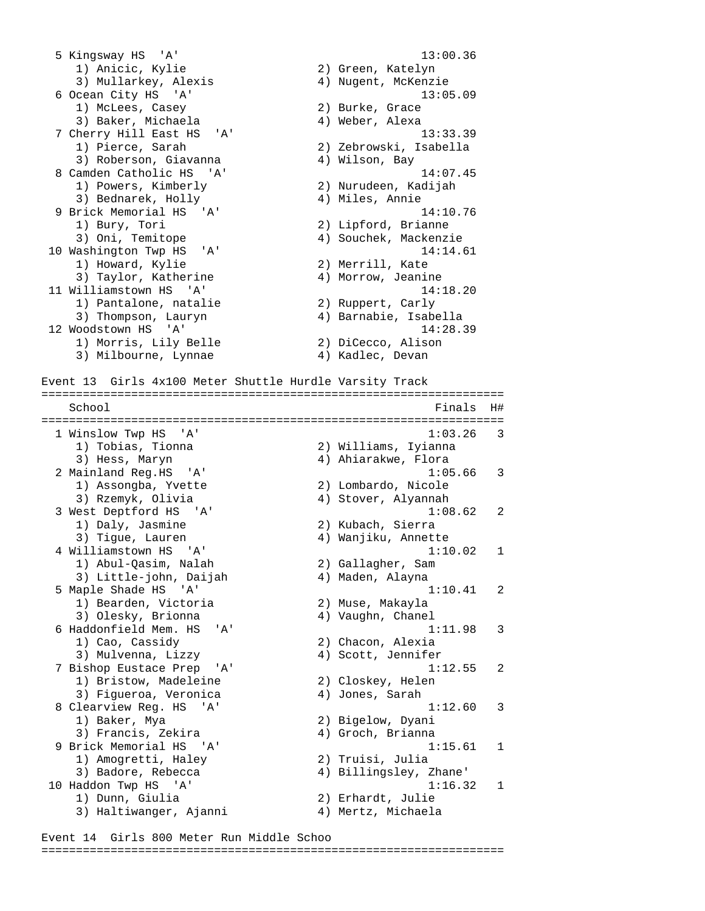5 Kingsway HS 'A' 13:00.36 1) Anicic, Kylie 2) Green, Katelyn 3) Mullarkey, Alexis 4) Nugent, McKenzie 6 Ocean City HS 'A' 13:05.09 1) McLees, Casey 2) Burke, Grace 3) Baker, Michaela (4) Weber, Alexa 7 Cherry Hill East HS 'A' 13:33.39 1) Pierce, Sarah 2) Zebrowski, Isabella 3) Roberson, Giavanna (4) Wilson, Bay 8 Camden Catholic HS 'A' 14:07.45 2) Nurudeen, Kadijah<br>4) Miles, Annie 3) Bednarek, Holly 4) Miles, Annie 9 Brick Memorial HS 'A' 14:10.76 1) Bury, Tori 2) Lipford, Brianne 3) Oni, Temitope 4) Souchek, Mackenzie 10 Washington Twp HS 'A' 14:14.61<br>14:14.61<br>2) Merrill, Kate 2) Taylor, Katherine 4) Morrow, Jeanine 1) Howard, Kylie 2) Merrill, Kate 3) Taylor, Katherine 4) Morrow, Jeanine 11 Williamstown HS 'A' 14:18.20 1) Pantalone, natalie 2) Ruppert, Carly 3) Thompson, Lauryn 4) Barnabie, Isabella 12 Woodstown HS 'A' 14:28.39 1) Morris, Lily Belle 2) DiCecco, Alison 3) Milbourne, Lynnae (4) Kadlec, Devan Event 13 Girls 4x100 Meter Shuttle Hurdle Varsity Track =================================================================== School Finals H# =================================================================== 1 Winslow Twp HS 'A' 1:03.26 3 1) Tobias, Tionna 2) Williams, Iyianna 3) Hess, Maryn (2008) (2008) 4) Ahiarakwe, Flora 2 Mainland Reg.HS 'A' 1:05.66 3 1) Assongba, Yvette 2) Lombardo, Nicole 3) Rzemyk, Olivia 4) Stover, Alyannah 3 West Deptford HS 'A' 1:08.62 2 1) Daly, Jasmine 2) Kubach, Sierra 3) Tigue, Lauren 4) Wanjiku, Annette 4 Williamstown HS 'A' 1:10.02 1 1) Abul-Qasim, Nalah 2) Gallagher, Sam 3) Little-john, Daijah 4) Maden, Alayna 5 Maple Shade HS 'A' 1:10.41 2 1) Bearden, Victoria 2) Muse, Makayla 3) Olesky, Brionna (4) Vaughn, Chanel 6 Haddonfield Mem. HS 'A' 1:11.98 3 1) Cao, Cassidy 2) Chacon, Alexia 3) Mulvenna, Lizzy 4) Scott, Jennifer 7 Bishop Eustace Prep 'A' 1:12.55 2 1) Bristow, Madeleine 2) Closkey, Helen 1) Bristow, Madeleine (2) Closkey, Helen<br>3) Figueroa, Veronica (4) Jones, Sarah<br>8 Clearview Reg. HS (4) (4) 1:12.6 8 Clearview Reg. HS 'A' 1:12.60 3 1) Baker, Mya 2) Bigelow, Dyani 3) Francis, Zekira (4) Groch, Brianna 9 Brick Memorial HS 'A' 1:15.61 1 1) Amogretti, Haley 2) Truisi, Julia 3) Badore, Rebecca 4) Billingsley, Zhane' 10 Haddon Twp HS 'A' 1:16.32 1 1) Dunn, Giulia 2) Erhardt, Julie 3) Haltiwanger, Ajanni 4) Mertz, Michaela

Event 14 Girls 800 Meter Run Middle Schoo ===================================================================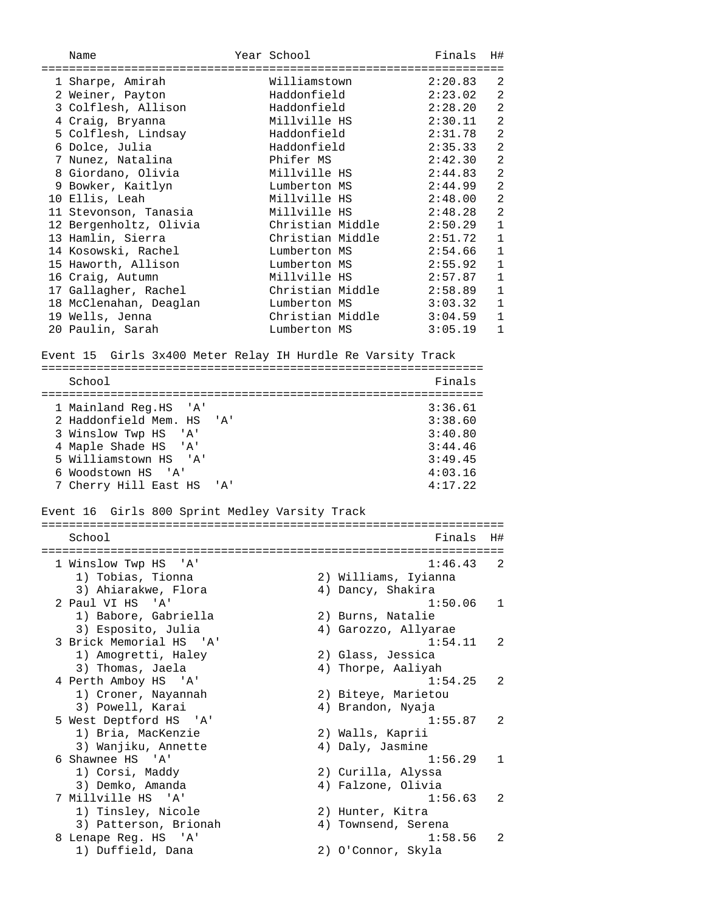Name Year School Finals H# =================================================================== 1 Sharpe, Amirah Williamstown 2:20.83 2 2 Weiner, Payton Haddonfield 2:23.02 2 3 Colflesh, Allison Haddonfield 2:28.20 2 4 Craig, Bryanna Millville HS 2:30.11 2 5 Colflesh, Lindsay Haddonfield 2:31.78 2 6 Dolce, Julia Haddonfield 2:35.33 2 7 Nunez, Natalina Phifer MS 2:42.30 2 8 Giordano, Olivia Millville HS 2:44.83 2 9 Bowker, Kaitlyn Lumberton MS 2:44.99 2 10 Ellis, Leah Millville HS 2:48.00 2 11 Stevonson, Tanasia Millville HS 2:48.28 2 12 Bergenholtz, Olivia Christian Middle 2:50.29 1 13 Hamlin, Sierra Christian Middle 2:51.72 1 14 Kosowski, Rachel Lumberton MS 2:54.66 1 15 Haworth, Allison Lumberton MS 2:55.92 1 16 Craig, Autumn Millville HS 2:57.87 1 17 Gallagher, Rachel Christian Middle 2:58.89 1 18 McClenahan, Deaglan Lumberton MS 3:03.32 1 19 Wells, Jenna Christian Middle 3:04.59 1 20 Paulin, Sarah Lumberton MS 3:05.19 1 Event 15 Girls 3x400 Meter Relay IH Hurdle Re Varsity Track ================================================================ School Finals ================================================================ 1 Mainland Reg.HS 'A' 3:36.61 2 Haddonfield Mem. HS 'A' 3:38.60 3 Winslow Twp HS 'A' 3:40.80 4 Maple Shade HS 'A' 3:44.46 5 Williamstown HS 'A' 3:49.45 6 Woodstown HS 'A' 4:03.16 7 Cherry Hill East HS 'A' 4:17.22 Event 16 Girls 800 Sprint Medley Varsity Track =================================================================== School **Finals** H# =================================================================== 1 Winslow Twp HS 'A'<br>1) Tobias, Tionna 1) Tobias, Tionna 2) Williams, Iyianna 3) Ahiarakwe, Flora 4) Dancy, Shakira 2 Paul VI HS 'A' 1:50.06 1 1) Babore, Gabriella 3) Esposito, Julia 4) Garozzo, Allyarae 3 Brick Memorial HS 'A' 1:54.11 2 1) Amogretti, Haley 2) Glass, Jessica 3) Thomas, Jaela (4) Thorpe, Aaliyah 4 Perth Amboy HS 'A' 1:54.25 2 1) Croner, Nayannah 2) Biteye, Marietou 3) Powell, Karai 4) Brandon, Nyaja 5 West Deptford HS 'A' 1:55.87 2 1) Bria, MacKenzie 2) Walls, Kaprii 3) Wanjiku, Annette 4) Daly, Jasmine 6 Shawnee HS 'A' 1:56.29 1 1) Corsi, Maddy 2) Curilla, Alyssa 3) Demko, Amanda 4) Falzone, Olivia 1) COISI, Maddy<br>
3) Demko, Amanda<br>
7 Millville HS 'A' 1:56.63<br>
1) Tinsley, Nicole 2) Hunter, Kitra 1) Tinsley, Nicole 2) Hunter, Kitra 3) Patterson, Brionah 4) Townsend, Serena 3) Patterson, Brionah (1994) 4 Townsend, Serena (2) 8 Lenape Reg. HS (2) 1:58.56 2 1) Duffield, Dana 2) O'Connor, Skyla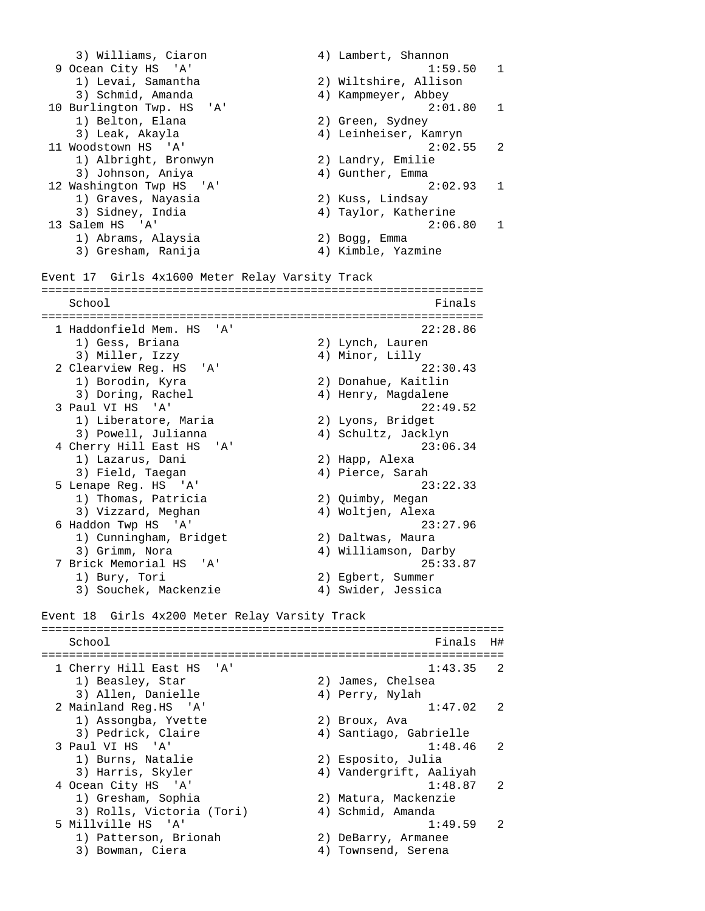3) Williams, Ciaron (4) Lambert, Shannon 9 Ocean City HS 'A' 1:59.50 1 1) Levai, Samantha (2) Wiltshire, Allison<br>3) Schmid Amanda (3) Xiltshire, Abbou 3) Schmid, Amanda 4) Kampmeyer, Abbey 10 Burlington Twp. HS 'A' 2:01.80 1<br>1 Belton, Elana 2) Green, Sydney 1) Belton, Elana 3) Leak, Akayla 4) Leinheiser, Kamryn 11 Woodstown HS 'A' 2:02.55 2 1) Albright, Bronwyn 2) Landry, Emilie 3) Johnson, Aniya (4) Gunther, Emma 12 Washington Twp HS 'A' 2:02.93 1 1) Graves, Nayasia 2) Kuss, Lindsay 3) Sidney, India 4) Taylor, Katherine 13 Salem HS 'A' 2:06.80 1 1) Abrams, Alaysia 2) Bogg, Emma 3) Gresham, Ranija (4) Kimble, Yazmine Event 17 Girls 4x1600 Meter Relay Varsity Track ================================================================ School Finals and School Finals and School Finals and School Finals and School Finals and School Finals and School Finals and School Finals and School Finals and School Finals and School Finals and School Finals and School ================================================================ 1 Haddonfield Mem. HS 'A' 22:28.86 1) Gess, Briana 2) Lynch, Lauren 3) Miller, Izzy 4) Minor, Lilly 2 Clearview Reg. HS 'A' 22:30.43 1) Borodin, Kyra 2) Donahue, Kaitlin 3) Doring, Rachel (4) Henry, Magdalene 3 Paul VI HS 'A' 22:49.52 1) Liberatore, Maria 2) Lyons, Bridget 3) Powell, Julianna (4) Schultz, Jacklyn 4 Cherry Hill East HS 'A' 23:06.34 1) Lazarus, Dani 2) Happ, Alexa 3) Field, Taegan 4) Pierce, Sarah 1) Lazarus, Dani (1) Lazarus, Dani (1) Lazarus, Dani (1) 2) Happ, Alexa<br>
3) Field, Taegan (1) Pierce, Sarah (2) 23:22.33<br>
1) Thomas, Patricia (2) Quimby, Megan (2) 2) 21 23:22.33 1) Thomas, Patricia 2) Quimby, Megan 3) Vizzard, Meghan (4) Woltjen, Alexa 6 Haddon Twp HS 'A' 23:27.96 1) Cunningham, Bridget 2) Daltwas, Maura 3) Grimm, Nora 4) Williamson, Darby 7 Brick Memorial HS 'A' 25:33.87 1) Bury, Tori 2) Egbert, Summer 3) Souchek, Mackenzie 4) Swider, Jessica Event 18 Girls 4x200 Meter Relay Varsity Track =================================================================== School Finals H# =================================================================== 1 Cherry Hill East HS 'A' 1:43.35 2 1) Beasley, Star 2) James, Chelsea 3) Allen, Danielle (4) Perry, Nylah 2 Mainland Reg.HS 'A' 1:47.02 2<br>1) Assongba, Yvette 2) Broux, Ava<br>3) Pedrick, Claire 4) Santiago, Gabrielle 1) Assongba, Yvette 2) Broux, Ava 3) Pedrick, Claire 4) Santiago, Gabrielle 3 Paul VI HS 'A' 1:48.46 2 1) Burns, Natalie 2) Esposito, Julia 3) Harris, Skyler 4) Vandergrift, Aaliyah 4 Ocean City HS 'A' 1:48.87 2 1) Gresham, Sophia 2) Matura, Mackenzie 3) Rolls, Victoria (Tori) 4) Schmid, Amanda 3) Rolls, Victoria (Tori) (3) Schmid, Amanda<br>5 Millville HS 'A' 1:49.59 2 1) Patterson, Brionah 2) DeBarry, Armanee 3) Bowman, Ciera 4) Townsend, Serena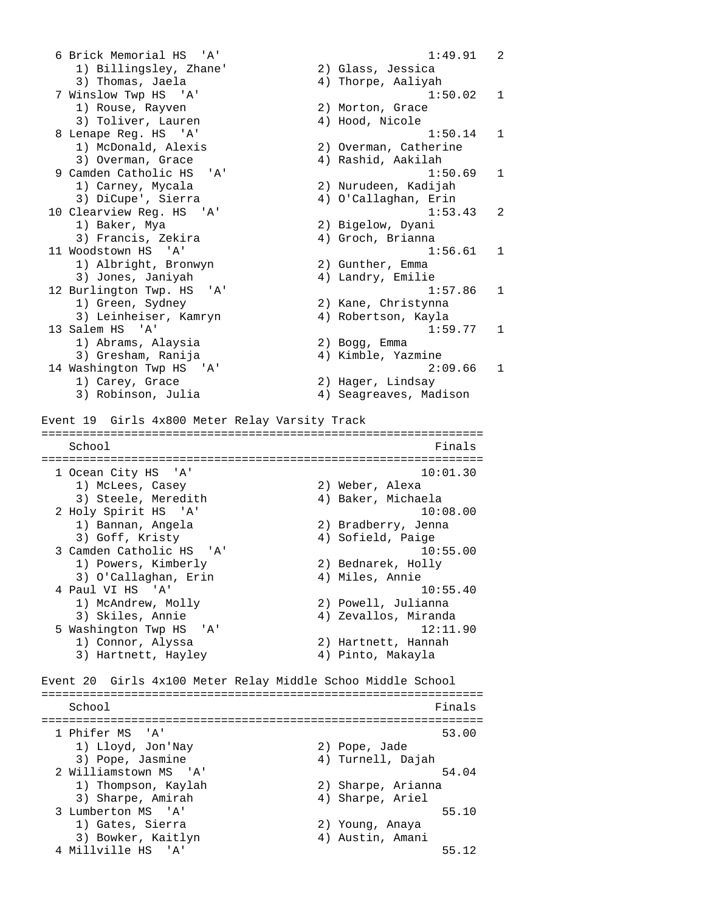6 Brick Memorial HS 'A' 1:49.91 2 1) Billingsley, Zhane' 2) Glass, Jessica 3) Thomas, Jaela 4) Thorpe, Aaliyah 7 Winslow Twp HS 'A' 1:50.02 1 1) Rouse, Rayven 2) Morton, Grace 3) Toliver, Lauren (4) Hood, Nicole 8 Lenape Reg. HS 'A' 1:50.14 1<br>1) McDonald, Alexis 2) Overman, Catherine<br>1) McDonald, Alexis 1) McDonald, Alexis 2) Overman, Catherine 3) Overman, Grace 4) Rashid, Aakilah 9 Camden Catholic HS 'A' 1:50.69 1<br>1) Carney, Mycala 2) Nurudeen, Kadijah<br>3) DiCupe', Sierra 19 (2) 2) O'Callaghan, Erin 1) Carney, Mycala 2) Nurudeen, Kadijah 3) DiCupe', Sierra 4) O'Callaghan, Erin 10 Clearview Reg. HS 'A' 1:53.43 2 1) Baker, Mya 2) Bigelow, Dyani 3) Francis, Zekira (4) Groch, Brianna 11 Woodstown HS 'A' 1:56.61 1 1) Albright, Bronwyn 2) Gunther, Emma 3) Jones, Janiyah 4) Landry, Emilie 12 Burlington Twp. HS 'A' 1:57.86 1 1) Green, Sydney 2) Kane, Christynna 3) Leinheiser, Kamryn (4) Robertson, Kayla<br>13 Salem HS (17) 1:59 1:59.77 1<br>2) Bogg, Emma 1) Abrams, Alaysia 2) Bogg, Emma 3) Gresham, Ranija 4) Kimble, Yazmine 14 Washington Twp HS 'A' 2:09.66 1 1) Carey, Grace 2) Hager, Lindsay 3) Robinson, Julia 4) Seagreaves, Madison Event 19 Girls 4x800 Meter Relay Varsity Track ================================================================ School Finals ================================================================ 1 Ocean City HS 'A' 10:01.30 1) McLees, Casey 2) Weber, Alexa 3) Steele, Meredith 4) Baker, Michaela 2 Holy Spirit HS 'A' 10:08.00 1) Bannan, Angela (2) Bradberry, Jenna<br>3) Goff, Kristy (4) Sofield, Paige 3) Goff, Kristy (4) Sofield, Paige 3 Camden Catholic HS 'A' 10:55.00 1) Powers, Kimberly 2) Bednarek, Holly 3) O'Callaghan, Erin (4) Miles, Annie 4 Paul VI HS 'A' 10:55.40 1) McAndrew, Molly 2) Powell, Julianna 3) Skiles, Annie 4) Zevallos, Miranda 5 Washington Twp HS 'A' 12:11.90 12.11<br>1) Connor, Alyssa 2) Hartnett, Hannah 3) Hartnett, Hayley 4) Pinto, Makayla Event 20 Girls 4x100 Meter Relay Middle Schoo Middle School ================================================================ School Finals and School Finals and School Finals and School Finals and School Finals and School Finals and School Finals and School Finals and School Finals and School Finals and School Finals and School Finals and School ================================================================ 1 Phifer MS 'A' 53.00 1) Lloyd, Jon'Nay 2) Pope, Jade 3) Pope, Jasmine 4) Turnell, Dajah 2 Williamstown MS 'A' 54.04 1) Thompson, Kaylah 2) Sharpe, Arianna 3) Sharpe, Amirah (4) Sharpe, Ariel 3 Lumberton MS 'A' 55.10 1) Gates, Sierra 2) Young, Anaya 3) Bowker, Kaitlyn 1988 (4) Austin, Amani 4 Millville HS 'A' 55.12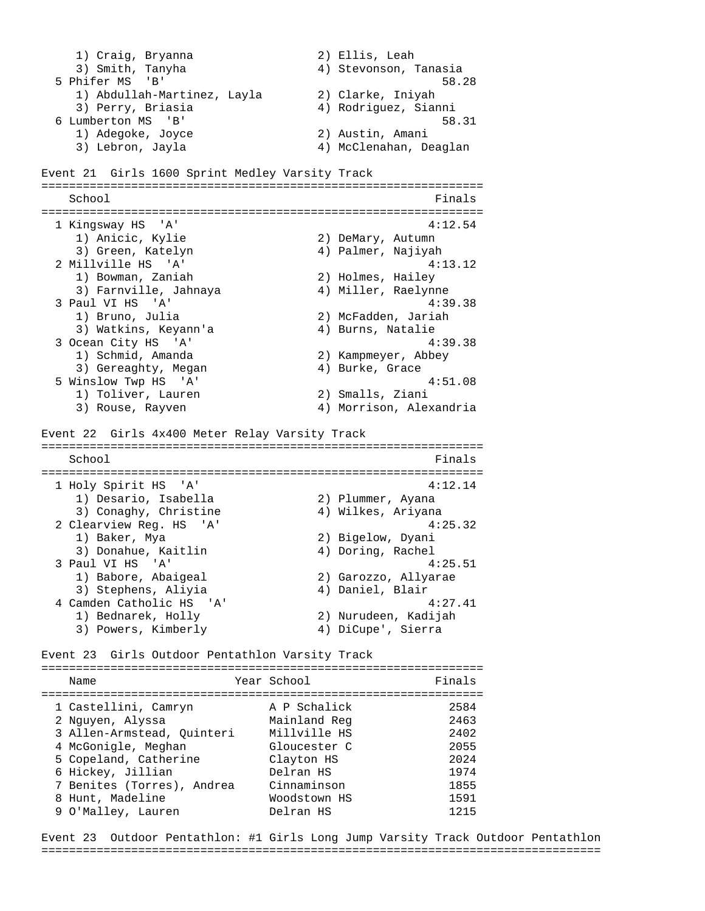1) Craig, Bryanna 2) Ellis, Leah 3) Smith, Tanyha 4) Stevonson, Tanasia 5 Phifer MS 'B' 58.28 1) Abdullah-Martinez, Layla (2) Clarke, Iniyah<br>3) Perry, Briasia (4) Rodriguez, Sianni 3) Perry, Briasia 6 Lumberton MS 'B' 58.31 1) Adegoke, Joyce 2) Austin, Amani 3) Lebron, Jayla 4) McClenahan, Deaglan Event 21 Girls 1600 Sprint Medley Varsity Track ================================================================ School Finals ================================================================ 1 Kingsway HS 'A' 4:12.54<br>1) Anicic, Kylie 4:12.54 1) Anicic, Kylie 2) DeMary, Autumn 3) Green, Katelyn 4) Palmer, Najiyah 2 Millville HS 'A' 4:13.12 1) Bowman, Zaniah 2) Holmes, Hailey 3) Bowman, Zaniah (2) Holmes, Hailey<br>3) Farnville, Jahnaya (4) Miller, Raelynne<br>2) All VI HS (3) 3 Paul VI HS 'A' 4:39.38<br>1) Bruno, Julia (2) McFadden, Jariah 2) McFadden, Jariah 3) Watkins, Keyann'a 4) Burns, Natalie 3 Ocean City HS 'A' 4:39.38 1) Schmid, Amanda 2) Kampmeyer, Abbey 3) Gereaghty, Megan (4) Burke, Grace 5 Winslow Twp HS 'A' 4:51.08 1) Toliver, Lauren 2) Smalls, Ziani 3) Rouse, Rayven 4) Morrison, Alexandria Event 22 Girls 4x400 Meter Relay Varsity Track ================================================================ School **Finals** ================================================================ 1 Holy Spirit HS 'A' 4:12.14 1) Desario, Isabella (2) Plummer, Ayana<br>3) Conaghy, Christine (4) Wilkes, Ariyana 3) Conaghy, Christine (4) Wilkes, Ariyana 2 Clearview Reg. HS 'A' 4:25.32 1) Baker, Mya 2) Bigelow, Dyani 3) Donahue, Kaitlin 4) Doring, Rachel 3 Paul VI HS 'A' 4:25.51 1) Babore, Abaigeal 2) Garozzo, Allyarae 3) Stephens, Aliyia 4) Daniel, Blair 4 Camden Catholic HS 'A' 4:27.41 1) Bednarek, Holly 2) Nurudeen, Kadijah 3) Powers, Kimberly 4) DiCupe', Sierra Event 23 Girls Outdoor Pentathlon Varsity Track ================================================================ Name **Year School Finals** ================================================================ 1 Castellini, Camryn A P Schalick 2584

| 2 Nguyen, Alyssa           | Mainland Reg | 2463 |
|----------------------------|--------------|------|
| 3 Allen-Armstead, Quinteri | Millville HS | 2402 |
| 4 McGonigle, Meghan        | Gloucester C | 2055 |
| 5 Copeland, Catherine      | Clayton HS   | 2024 |
| 6 Hickey, Jillian          | Delran HS    | 1974 |
| 7 Benites (Torres), Andrea | Cinnaminson  | 1855 |
| 8 Hunt, Madeline           | Woodstown HS | 1591 |
| 9 O'Malley, Lauren         | Delran HS    | 1215 |
|                            |              |      |

Event 23 Outdoor Pentathlon: #1 Girls Long Jump Varsity Track Outdoor Pentathlon =================================================================================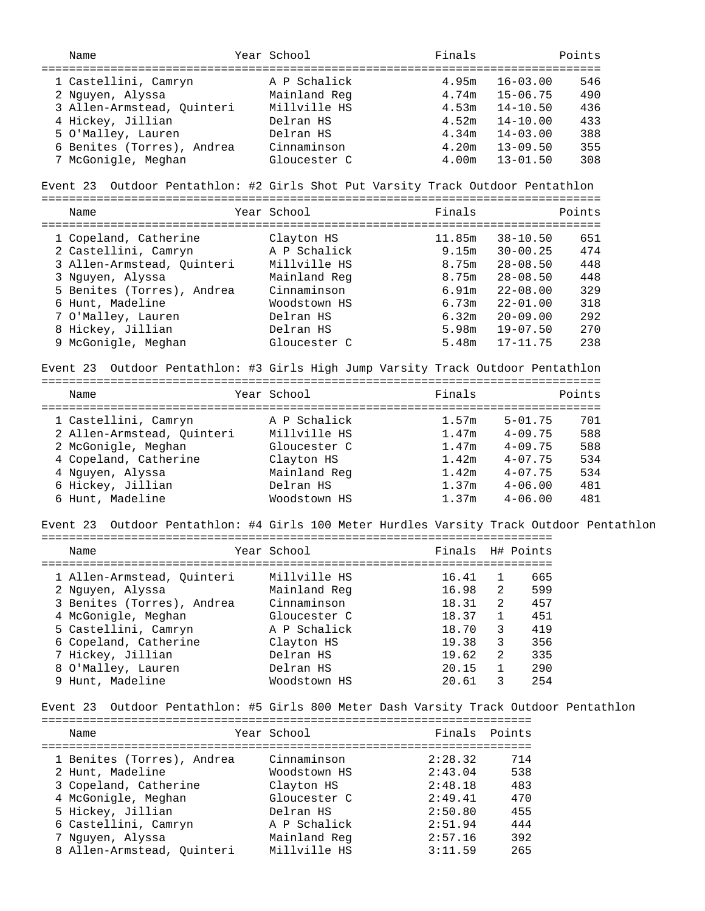| Name                                                                                     | Year School  | Finals            |                  | Points |
|------------------------------------------------------------------------------------------|--------------|-------------------|------------------|--------|
|                                                                                          |              |                   |                  |        |
| 1 Castellini, Camryn                                                                     | A P Schalick | 4.95 <sub>m</sub> | $16 - 03.00$     | 546    |
| 2 Nguyen, Alyssa                                                                         | Mainland Reg | 4.74m             | $15 - 06.75$     | 490    |
| 3 Allen-Armstead, Quinteri                                                               | Millville HS | 4.53m             | $14 - 10.50$     | 436    |
| 4 Hickey, Jillian                                                                        | Delran HS    | 4.52m             | $14 - 10.00$     | 433    |
|                                                                                          | Delran HS    |                   |                  |        |
| 5 O'Malley, Lauren                                                                       |              | 4.34m             | $14 - 03.00$     | 388    |
| 6 Benites (Torres), Andrea                                                               | Cinnaminson  | 4.20m             | $13 - 09.50$     | 355    |
| 7 McGonigle, Meghan                                                                      | Gloucester C | 4.00m             | $13 - 01.50$     | 308    |
| Event 23 Outdoor Pentathlon: #2 Girls Shot Put Varsity Track Outdoor Pentathlon          |              |                   |                  |        |
| Name                                                                                     | Year School  | Finals            |                  | Points |
| 1 Copeland, Catherine                                                                    | Clayton HS   | 11.85m            | $38 - 10.50$     | 651    |
| 2 Castellini, Camryn                                                                     | A P Schalick | 9.15m             | $30 - 00.25$     | 474    |
| 3 Allen-Armstead, Quinteri                                                               | Millville HS | 8.75m             | $28 - 08.50$     | 448    |
|                                                                                          |              |                   |                  |        |
| 3 Nguyen, Alyssa                                                                         | Mainland Reg | 8.75m             | $28 - 08.50$     | 448    |
| 5 Benites (Torres), Andrea                                                               | Cinnaminson  | 6.91m             | $22 - 08.00$     | 329    |
| 6 Hunt, Madeline                                                                         | Woodstown HS | 6.73m             | $22 - 01.00$     | 318    |
| 7 O'Malley, Lauren                                                                       | Delran HS    | 6.32m             | $20 - 09.00$     | 292    |
| 8 Hickey, Jillian                                                                        | Delran HS    | 5.98m             | $19 - 07.50$     | 270    |
| 9 McGonigle, Meghan                                                                      | Gloucester C | 5.48m             | $17 - 11.75$     | 238    |
| Event 23 Outdoor Pentathlon: #3 Girls High Jump Varsity Track Outdoor Pentathlon         |              |                   |                  |        |
| Name                                                                                     | Year School  | Finals            |                  | Points |
|                                                                                          |              |                   |                  |        |
| 1 Castellini, Camryn                                                                     | A P Schalick | 1.57m             | $5 - 01.75$      | 701    |
| 2 Allen-Armstead, Quinteri                                                               | Millville HS | 1.47m             | $4 - 09.75$      | 588    |
| 2 McGonigle, Meghan                                                                      | Gloucester C | 1.47m             | $4 - 09.75$      | 588    |
| 4 Copeland, Catherine                                                                    | Clayton HS   | 1.42m             | $4 - 07.75$      | 534    |
| 4 Nguyen, Alyssa                                                                         | Mainland Reg | 1.42m             | $4 - 07.75$      | 534    |
| 6 Hickey, Jillian                                                                        | Delran HS    | 1.37m             | $4 - 06.00$      | 481    |
| 6 Hunt, Madeline                                                                         | Woodstown HS | 1.37m             | $4 - 06.00$      | 481    |
| Event 23 Outdoor Pentathlon: #4 Girls 100 Meter Hurdles Varsity Track Outdoor Pentathlon |              |                   |                  |        |
| Name                                                                                     | Year School  |                   | Finals H# Points |        |
|                                                                                          |              |                   |                  |        |
|                                                                                          |              |                   |                  |        |
| 1 Allen-Armstead, Quinteri                                                               | Millville HS | 16.41             | 665<br>1         |        |
| 2 Nguyen, Alyssa                                                                         | Mainland Reg | 16.98             | 599<br>2         |        |
| 3 Benites (Torres), Andrea                                                               | Cinnaminson  | 18.31             | 457<br>2         |        |
| 4 McGonigle, Meghan                                                                      | Gloucester C | 18.37             | 451<br>1         |        |
| 5 Castellini, Camryn                                                                     | A P Schalick | 18.70             | 3<br>419         |        |
| 6 Copeland, Catherine                                                                    | Clayton HS   | 19.38             | 3<br>356         |        |
| 7 Hickey, Jillian                                                                        | Delran HS    | 19.62             | 2<br>335         |        |
| 8 O'Malley, Lauren                                                                       | Delran HS    | 20.15             | 1<br>290         |        |
| 9 Hunt, Madeline                                                                         | Woodstown HS | 20.61             | 254<br>3         |        |
| Outdoor Pentathlon: #5 Girls 800 Meter Dash Varsity Track Outdoor Pentathlon<br>Event 23 |              |                   |                  |        |
| Name                                                                                     | Year School  | Finals            | Points           |        |
|                                                                                          |              |                   |                  |        |
| 1 Benites (Torres), Andrea                                                               | Cinnaminson  | 2:28.32           | 714              |        |
|                                                                                          |              |                   |                  |        |
| 2 Hunt, Madeline                                                                         | Woodstown HS | 2:43.04           | 538              |        |
| 3 Copeland, Catherine                                                                    | Clayton HS   | 2:48.18           | 483              |        |
| 4 McGonigle, Meghan                                                                      | Gloucester C | 2:49.41           | 470              |        |
| 5 Hickey, Jillian                                                                        | Delran HS    | 2:50.80           | 455              |        |
| 6 Castellini, Camryn                                                                     | A P Schalick | 2:51.94           | 444              |        |
| 7 Nguyen, Alyssa                                                                         | Mainland Reg | 2:57.16           | 392              |        |
| 8 Allen-Armstead, Quinteri                                                               | Millville HS | 3:11.59           | 265              |        |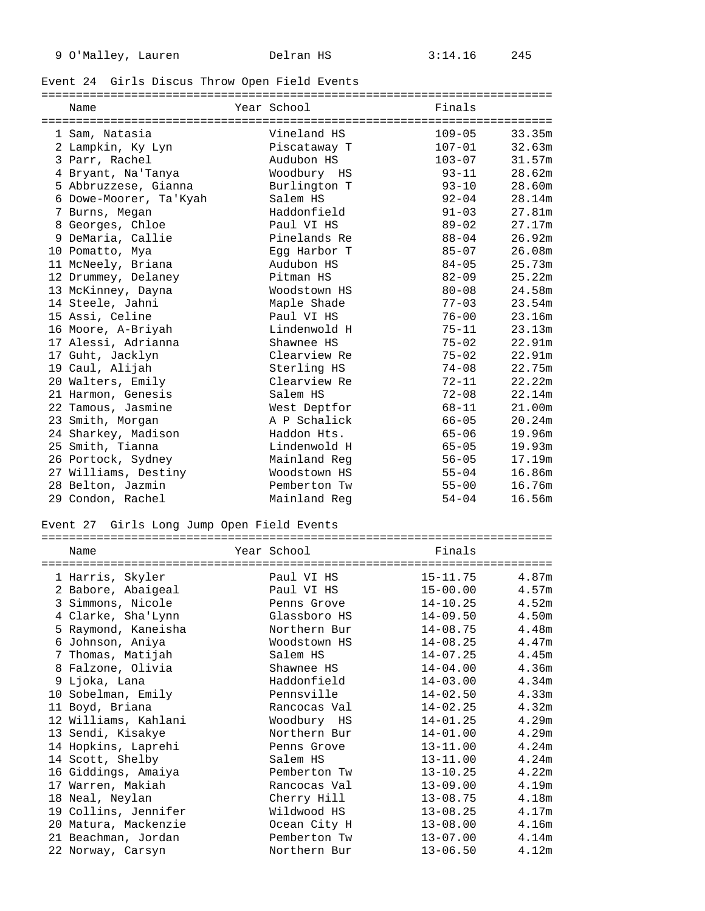# Event 24 Girls Discus Throw Open Field Events

| Name                                       |  | Year School  | Finals     |        |  |  |
|--------------------------------------------|--|--------------|------------|--------|--|--|
|                                            |  |              |            |        |  |  |
| 1 Sam, Natasia                             |  | Vineland HS  | $109 - 05$ | 33.35m |  |  |
| 2 Lampkin, Ky Lyn                          |  | Piscataway T | $107 - 01$ | 32.63m |  |  |
| 3 Parr, Rachel                             |  | Audubon HS   | $103 - 07$ | 31.57m |  |  |
| 4 Bryant, Na'Tanya                         |  | Woodbury HS  | $93 - 11$  | 28.62m |  |  |
| 5 Abbruzzese, Gianna                       |  | Burlington T | $93 - 10$  | 28.60m |  |  |
| 6 Dowe-Moorer, Ta'Kyah                     |  | Salem HS     | $92 - 04$  | 28.14m |  |  |
| 7 Burns, Megan                             |  | Haddonfield  | $91 - 03$  | 27.81m |  |  |
| 8 Georges, Chloe                           |  | Paul VI HS   | $89 - 02$  | 27.17m |  |  |
| 9 DeMaria, Callie                          |  | Pinelands Re | $88 - 04$  | 26.92m |  |  |
| 10 Pomatto, Mya                            |  | Egg Harbor T | $85 - 07$  | 26.08m |  |  |
| 11 McNeely, Briana                         |  | Audubon HS   | $84 - 05$  | 25.73m |  |  |
| 12 Drummey, Delaney                        |  | Pitman HS    | $82 - 09$  | 25.22m |  |  |
| 13 McKinney, Dayna                         |  | Woodstown HS | $80 - 08$  | 24.58m |  |  |
| 14 Steele, Jahni                           |  | Maple Shade  | $77 - 03$  | 23.54m |  |  |
| 15 Assi, Celine                            |  | Paul VI HS   | $76 - 00$  | 23.16m |  |  |
| 16 Moore, A-Briyah                         |  | Lindenwold H | $75 - 11$  | 23.13m |  |  |
| 17 Alessi, Adrianna                        |  | Shawnee HS   | $75 - 02$  | 22.91m |  |  |
| 17 Guht, Jacklyn                           |  | Clearview Re | $75 - 02$  | 22.91m |  |  |
| 19 Caul, Alijah                            |  | Sterling HS  | $74 - 08$  | 22.75m |  |  |
| 20 Walters, Emily                          |  | Clearview Re | $72 - 11$  | 22.22m |  |  |
| 21 Harmon, Genesis                         |  | Salem HS     | $72 - 08$  | 22.14m |  |  |
| 22 Tamous, Jasmine                         |  | West Deptfor | $68 - 11$  | 21.00m |  |  |
| 23 Smith, Morgan                           |  | A P Schalick | $66 - 05$  | 20.24m |  |  |
| 24 Sharkey, Madison                        |  | Haddon Hts.  | $65 - 06$  | 19.96m |  |  |
| 25 Smith, Tianna                           |  | Lindenwold H | $65 - 05$  | 19.93m |  |  |
| 26 Portock, Sydney                         |  | Mainland Reg | $56 - 05$  | 17.19m |  |  |
| 27 Williams, Destiny                       |  | Woodstown HS | $55 - 04$  | 16.86m |  |  |
| 28 Belton, Jazmin                          |  | Pemberton Tw | $55 - 00$  | 16.76m |  |  |
| 29 Condon, Rachel                          |  | Mainland Reg | $54 - 04$  | 16.56m |  |  |
| Event 27 Girls Long Jump Open Field Events |  |              |            |        |  |  |

| Name                 | Year School  | Finals       |                   |
|----------------------|--------------|--------------|-------------------|
| 1 Harris, Skyler     | Paul VI HS   | $15 - 11.75$ | 4.87m             |
| 2 Babore, Abaigeal   | Paul VI HS   | $15 - 00.00$ | 4.57m             |
| 3 Simmons, Nicole    | Penns Grove  | $14 - 10.25$ | 4.52 <sub>m</sub> |
| 4 Clarke, Sha'Lynn   | Glassboro HS | $14 - 09.50$ | 4.50m             |
| 5 Raymond, Kaneisha  | Northern Bur | $14 - 08.75$ | 4.48m             |
| 6 Johnson, Aniya     | Woodstown HS | $14 - 08.25$ | 4.47m             |
| 7 Thomas, Matijah    | Salem HS     | $14 - 07.25$ | 4.45m             |
| 8 Falzone, Olivia    | Shawnee HS   | $14 - 04.00$ | 4.36 <sub>m</sub> |
| 9 Ljoka, Lana        | Haddonfield  | $14 - 03.00$ | 4.34 <sub>m</sub> |
| 10 Sobelman, Emily   | Pennsville   | $14 - 02.50$ | 4.33m             |
| 11 Boyd, Briana      | Rancocas Val | $14 - 02.25$ | 4.32m             |
| 12 Williams, Kahlani | Woodbury HS  | $14 - 01.25$ | 4.29m             |
| 13 Sendi, Kisakye    | Northern Bur | $14 - 01.00$ | 4.29m             |
| 14 Hopkins, Laprehi  | Penns Grove  | $13 - 11.00$ | 4.24m             |
| 14 Scott, Shelby     | Salem HS     | $13 - 11.00$ | 4.24m             |
| 16 Giddings, Amaiya  | Pemberton Tw | $13 - 10.25$ | 4.22m             |
| 17 Warren, Makiah    | Rancocas Val | $13 - 09.00$ | 4.19m             |
| 18 Neal, Neylan      | Cherry Hill  | $13 - 08.75$ | 4.18m             |
| 19 Collins, Jennifer | Wildwood HS  | $13 - 08.25$ | 4.17m             |
| 20 Matura, Mackenzie | Ocean City H | $13 - 08.00$ | 4.16m             |
| 21 Beachman, Jordan  | Pemberton Tw | $13 - 07.00$ | 4.14 <sub>m</sub> |
| 22 Norway, Carsyn    | Northern Bur | $13 - 06.50$ | 4.12m             |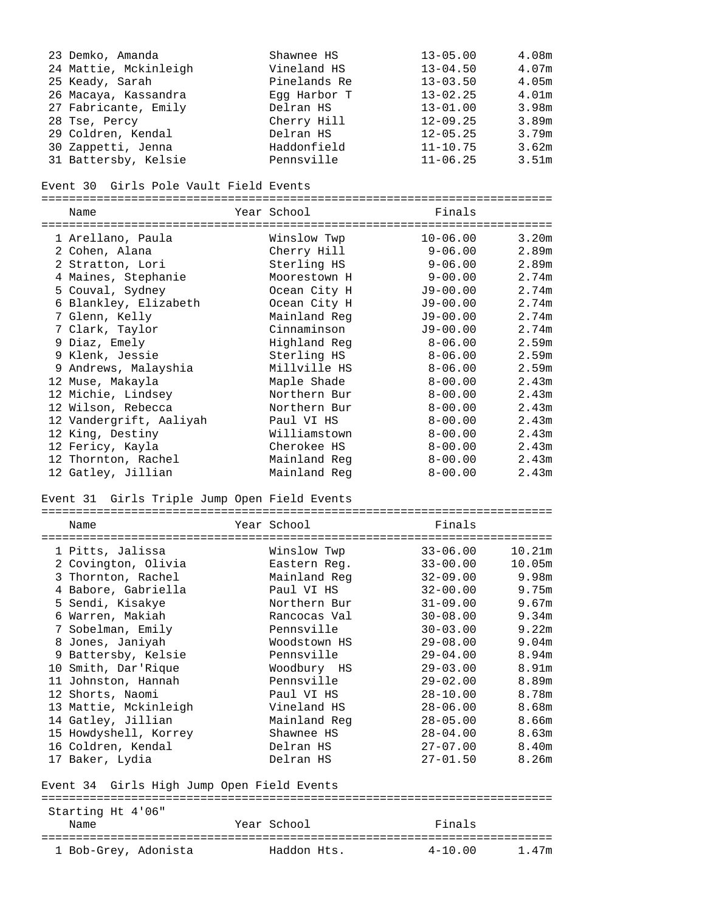| 23 Demko, Amanda                             | Shawnee HS                   | $13 - 05.00$                 | 4.08m             |
|----------------------------------------------|------------------------------|------------------------------|-------------------|
| 24 Mattie, Mckinleigh                        | Vineland HS                  | $13 - 04.50$                 | 4.07m             |
| 25 Keady, Sarah                              | Pinelands Re                 | $13 - 03.50$                 | 4.05 <sub>m</sub> |
| 26 Macaya, Kassandra                         | Egg Harbor T                 | $13 - 02.25$                 | 4.01 <sub>m</sub> |
| 27 Fabricante, Emily                         | Delran HS                    | $13 - 01.00$                 | 3.98m             |
| 28 Tse, Percy                                | Cherry Hill                  | $12 - 09.25$                 | 3.89m             |
| 29 Coldren, Kendal                           | Delran HS                    | $12 - 05.25$                 | 3.79m             |
| 30 Zappetti, Jenna                           | Haddonfield                  | $11 - 10.75$                 | 3.62m             |
| 31 Battersby, Kelsie                         | Pennsville                   | $11 - 06.25$                 | 3.51m             |
| Event 30 Girls Pole Vault Field Events       |                              |                              |                   |
| Name                                         | Year School                  | Finals                       |                   |
|                                              |                              |                              |                   |
| 1 Arellano, Paula                            | Winslow Twp                  | $10 - 06.00$                 | 3.20m             |
| 2 Cohen, Alana                               | Cherry Hill                  | $9 - 06.00$                  | 2.89m             |
| 2 Stratton, Lori                             | Sterling HS                  | $9 - 06.00$                  | 2.89m             |
| 4 Maines, Stephanie<br>5 Couval, Sydney      | Moorestown H                 | $9 - 00.00$                  | 2.74m<br>2.74m    |
| 6 Blankley, Elizabeth                        | Ocean City H<br>Ocean City H | $J9 - 00.00$<br>$J9 - 00.00$ | 2.74m             |
| 7 Glenn, Kelly                               | Mainland Reg                 | $J9 - 00.00$                 | 2.74m             |
| 7 Clark, Taylor                              | Cinnaminson                  | $J9 - 00.00$                 | 2.74m             |
| 9 Diaz, Emely                                | Highland Reg                 | $8 - 06.00$                  | 2.59 <sub>m</sub> |
| 9 Klenk, Jessie                              | Sterling HS                  | $8 - 06.00$                  | 2.59 <sub>m</sub> |
| 9 Andrews, Malayshia                         | Millville HS                 | $8 - 06.00$                  | 2.59 <sub>m</sub> |
| 12 Muse, Makayla                             | Maple Shade                  | $8 - 00.00$                  | 2.43m             |
| 12 Michie, Lindsey                           | Northern Bur                 | $8 - 00.00$                  | 2.43 <sub>m</sub> |
| 12 Wilson, Rebecca                           | Northern Bur                 | $8 - 00.00$                  | 2.43m             |
| 12 Vandergrift, Aaliyah                      | Paul VI HS                   | $8 - 00.00$                  | 2.43m             |
| 12 King, Destiny                             | Williamstown                 | $8 - 00.00$                  | 2.43m             |
| 12 Fericy, Kayla                             | Cherokee HS                  | $8 - 00.00$                  | 2.43 <sub>m</sub> |
| 12 Thornton, Rachel                          | Mainland Reg                 | $8 - 00.00$                  | 2.43m             |
| 12 Gatley, Jillian                           | Mainland Reg                 | $8 - 00.00$                  | 2.43m             |
| Event 31 Girls Triple Jump Open Field Events |                              |                              |                   |
|                                              |                              |                              |                   |
| Name                                         | Year School                  | Finals                       |                   |
| 1 Pitts, Jalissa                             | Winslow Twp                  | $33 - 06.00$                 | 10.21m            |
| 2 Covington, Olivia                          | Eastern Reg.                 | $33 - 00.00$ 10.05m          |                   |
| 3 Thornton, Rachel                           | Mainland Reg                 | $32 - 09.00$                 | 9.98m             |
| 4 Babore, Gabriella                          | Paul VI HS                   | $32 - 00.00$                 | 9.75m             |
| 5 Sendi, Kisakye                             | Northern Bur                 | $31 - 09.00$                 | 9.67m             |
| 6 Warren, Makiah                             | Rancocas Val                 | $30 - 08.00$                 | 9.34m             |
| 7 Sobelman, Emily                            | Pennsville                   | $30 - 03.00$                 | 9.22m             |
| 8 Jones, Janiyah                             | Woodstown HS                 | $29 - 08.00$                 | 9.04m             |
| 9 Battersby, Kelsie                          | Pennsville                   | $29 - 04.00$                 | 8.94m             |
| 10 Smith, Dar'Rique                          | Woodbury HS                  | $29 - 03.00$                 | 8.91m             |
| 11 Johnston, Hannah                          | Pennsville                   | $29 - 02.00$                 | 8.89m             |
| 12 Shorts, Naomi                             | Paul VI HS                   | $28 - 10.00$                 | 8.78m             |
| 13 Mattie, Mckinleigh                        | Vineland HS                  | $28 - 06.00$                 | 8.68m             |
| 14 Gatley, Jillian                           | Mainland Reg                 | $28 - 05.00$                 | 8.66m             |
| 15 Howdyshell, Korrey                        | Shawnee HS                   | $28 - 04.00$                 | 8.63m             |
| 16 Coldren, Kendal                           | Delran HS                    | $27 - 07.00$                 | 8.40m             |
| 17 Baker, Lydia                              | Delran HS                    | $27 - 01.50$                 | 8.26m             |
| Event 34 Girls High Jump Open Field Events   |                              |                              |                   |
|                                              |                              |                              |                   |
|                                              |                              |                              |                   |
| Starting Ht 4'06"                            |                              |                              |                   |
| Name                                         | Year School                  | Finals                       |                   |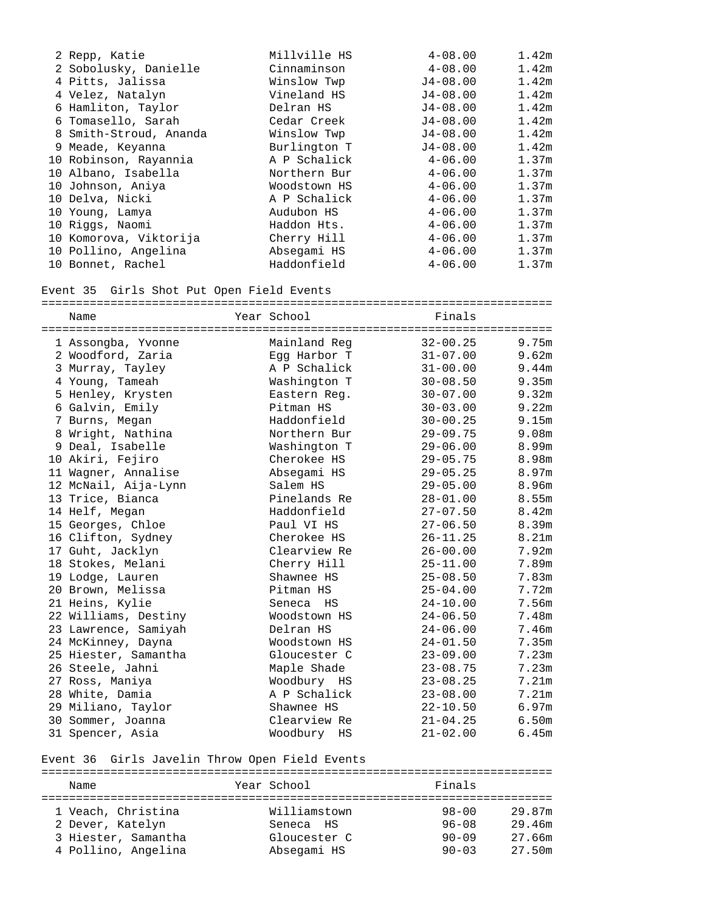| 2 Repp, Katie          | Millville HS | $4 - 08.00$  | 1.42 <sub>m</sub> |
|------------------------|--------------|--------------|-------------------|
| 2 Sobolusky, Danielle  | Cinnaminson  | $4 - 08.00$  | 1.42 <sub>m</sub> |
| 4 Pitts, Jalissa       | Winslow Twp  | $J4 - 08.00$ | 1.42m             |
| 4 Velez, Natalyn       | Vineland HS  | $J4 - 08.00$ | 1.42m             |
| 6 Hamliton, Taylor     | Delran HS    | $J4 - 08.00$ | 1.42m             |
| 6 Tomasello, Sarah     | Cedar Creek  | $J4 - 08.00$ | 1.42m             |
| 8 Smith-Stroud, Ananda | Winslow Twp  | $J4 - 08.00$ | 1.42m             |
| 9 Meade, Keyanna       | Burlington T | $J4 - 08.00$ | 1.42m             |
| 10 Robinson, Rayannia  | A P Schalick | $4 - 06.00$  | 1.37 <sub>m</sub> |
| 10 Albano, Isabella    | Northern Bur | $4 - 06.00$  | 1.37m             |
| 10 Johnson, Aniya      | Woodstown HS | $4 - 06.00$  | 1.37 <sub>m</sub> |
| 10 Delva, Nicki        | A P Schalick | $4 - 06.00$  | 1.37m             |
| 10 Young, Lamya        | Audubon HS   | $4 - 06.00$  | 1.37m             |
| 10 Riggs, Naomi        | Haddon Hts.  | $4 - 06.00$  | 1.37m             |
| 10 Komorova, Viktorija | Cherry Hill  | $4 - 06.00$  | 1.37 <sub>m</sub> |
| 10 Pollino, Angelina   | Absegami HS  | $4 - 06.00$  | 1.37 <sub>m</sub> |
| 10 Bonnet, Rachel      | Haddonfield  | $4 - 06.00$  | 1.37 <sub>m</sub> |

### Event 35 Girls Shot Put Open Field Events

| Name                 | Year School  | Finals       |                   |
|----------------------|--------------|--------------|-------------------|
| 1 Assongba, Yvonne   | Mainland Req | $32 - 00.25$ | 9.75m             |
| 2 Woodford, Zaria    | Egg Harbor T | $31 - 07.00$ | 9.62m             |
| 3 Murray, Tayley     | A P Schalick | $31 - 00.00$ | 9.44m             |
| 4 Young, Tameah      | Washington T | $30 - 08.50$ | 9.35m             |
| 5 Henley, Krysten    | Eastern Req. | $30 - 07.00$ | 9.32m             |
| 6 Galvin, Emily      | Pitman HS    | $30 - 03.00$ | 9.22m             |
| 7 Burns, Megan       | Haddonfield  | $30 - 00.25$ | 9.15m             |
| 8 Wright, Nathina    | Northern Bur | $29 - 09.75$ | 9.08m             |
| 9 Deal, Isabelle     | Washington T | $29 - 06.00$ | 8.99m             |
| 10 Akiri, Fejiro     | Cherokee HS  | $29 - 05.75$ | 8.98m             |
| 11 Wagner, Annalise  | Absegami HS  | $29 - 05.25$ | 8.97m             |
| 12 McNail, Aija-Lynn | Salem HS     | $29 - 05.00$ | 8.96m             |
| 13 Trice, Bianca     | Pinelands Re | $28 - 01.00$ | 8.55m             |
| 14 Helf, Megan       | Haddonfield  | $27 - 07.50$ | 8.42m             |
| 15 Georges, Chloe    | Paul VI HS   | $27 - 06.50$ | 8.39m             |
| 16 Clifton, Sydney   | Cherokee HS  | $26 - 11.25$ | 8.21m             |
| 17 Guht, Jacklyn     | Clearview Re | $26 - 00.00$ | 7.92m             |
| 18 Stokes, Melani    | Cherry Hill  | $25 - 11.00$ | 7.89m             |
| 19 Lodge, Lauren     | Shawnee HS   | $25 - 08.50$ | 7.83m             |
| 20 Brown, Melissa    | Pitman HS    | $25 - 04.00$ | 7.72m             |
| 21 Heins, Kylie      | Seneca HS    | $24 - 10.00$ | 7.56m             |
| 22 Williams, Destiny | Woodstown HS | $24 - 06.50$ | 7.48m             |
| 23 Lawrence, Samiyah | Delran HS    | $24 - 06.00$ | 7.46m             |
| 24 McKinney, Dayna   | Woodstown HS | $24 - 01.50$ | 7.35m             |
| 25 Hiester, Samantha | Gloucester C | $23 - 09.00$ | 7.23m             |
| 26 Steele, Jahni     | Maple Shade  | $23 - 08.75$ | 7.23m             |
| 27 Ross, Maniya      | Woodbury HS  | $23 - 08.25$ | 7.21 <sub>m</sub> |
| 28 White, Damia      | A P Schalick | $23 - 08.00$ | 7.21m             |
| 29 Miliano, Taylor   | Shawnee HS   | $22 - 10.50$ | 6.97m             |
| 30 Sommer, Joanna    | Clearview Re | $21 - 04.25$ | 6.50 <sub>m</sub> |
| 31 Spencer, Asia     | Woodbury HS  | $21 - 02.00$ | 6.45m             |

# Event 36 Girls Javelin Throw Open Field Events

| Name                |  | Year School  | Finals    |        |  |  |
|---------------------|--|--------------|-----------|--------|--|--|
|                     |  |              |           |        |  |  |
| 1 Veach, Christina  |  | Williamstown | $98 - 00$ | 29.87m |  |  |
| 2 Dever, Katelyn    |  | Seneca HS    | $96 - 08$ | 29.46m |  |  |
| 3 Hiester, Samantha |  | Gloucester C | $90 - 09$ | 27.66m |  |  |
| 4 Pollino, Angelina |  | Absegami HS  | $90 - 03$ | 27.50m |  |  |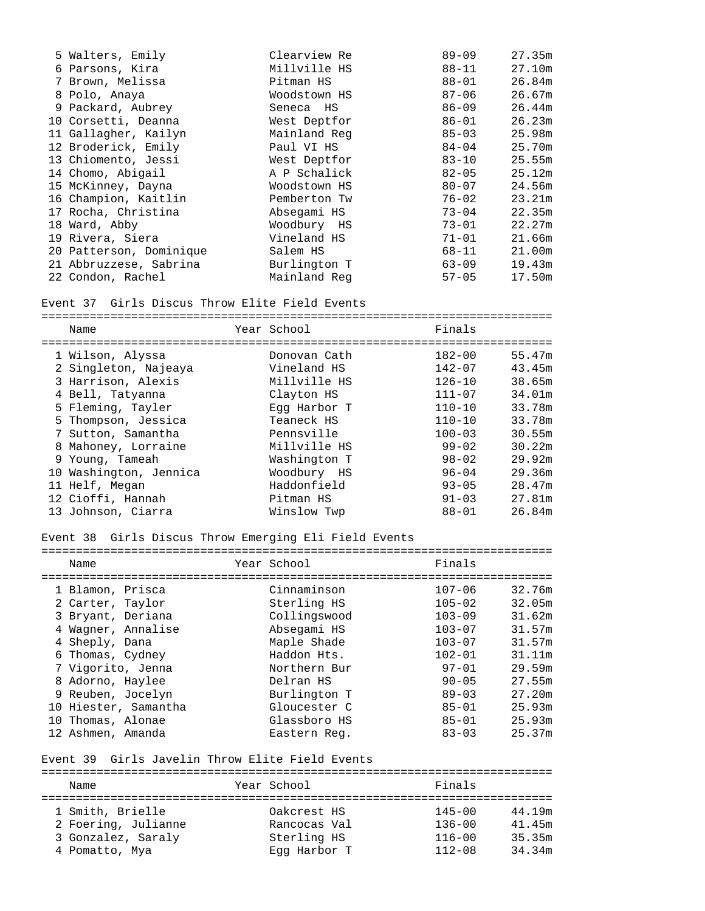| 5 Walters, Emily        | Clearview Re | $89 - 09$ | 27.35m |
|-------------------------|--------------|-----------|--------|
| 6 Parsons, Kira         | Millville HS | 88-11     | 27.10m |
| 7 Brown, Melissa        | Pitman HS    | 88-01     | 26.84m |
| 8 Polo, Anaya           | Woodstown HS | $87 - 06$ | 26.67m |
| 9 Packard, Aubrey       | Seneca HS    | $86 - 09$ | 26.44m |
| 10 Corsetti, Deanna     | West Deptfor | 86-01     | 26.23m |
| 11 Gallagher, Kailyn    | Mainland Reg | $85 - 03$ | 25.98m |
| 12 Broderick, Emily     | Paul VI HS   | 84-04     | 25.70m |
| 13 Chiomento, Jessi     | West Deptfor | $83 - 10$ | 25.55m |
| 14 Chomo, Abigail       | A P Schalick | $82 - 05$ | 25.12m |
| 15 McKinney, Dayna      | Woodstown HS | $80 - 07$ | 24.56m |
| 16 Champion, Kaitlin    | Pemberton Tw | 76-02     | 23.21m |
| 17 Rocha, Christina     | Absegami HS  | $73 - 04$ | 22.35m |
| 18 Ward, Abby           | Woodbury HS  | 73-01     | 22.27m |
| 19 Rivera, Siera        | Vineland HS  | 71-01     | 21.66m |
| 20 Patterson, Dominique | Salem HS     | 68-11     | 21.00m |
| 21 Abbruzzese, Sabrina  | Burlington T | $63 - 09$ | 19.43m |
| 22 Condon, Rachel       | Mainland Reg | $57 - 05$ | 17.50m |
|                         |              |           |        |

Event 37 Girls Discus Throw Elite Field Events

==========================================================================

| Name                   | Year School  | Finals     |        |
|------------------------|--------------|------------|--------|
| 1 Wilson, Alyssa       | Donovan Cath | $182 - 00$ | 55.47m |
| 2 Singleton, Najeaya   | Vineland HS  | $142 - 07$ | 43.45m |
| 3 Harrison, Alexis     | Millville HS | $126 - 10$ | 38.65m |
| 4 Bell, Tatyanna       | Clayton HS   | $111 - 07$ | 34.01m |
| 5 Fleming, Tayler      | Eqq Harbor T | $110 - 10$ | 33.78m |
| 5 Thompson, Jessica    | Teaneck HS   | $110 - 10$ | 33.78m |
| 7 Sutton, Samantha     | Pennsville   | $100 - 03$ | 30.55m |
| 8 Mahoney, Lorraine    | Millville HS | $99 - 02$  | 30.22m |
| 9 Young, Tameah        | Washington T | $98 - 02$  | 29.92m |
| 10 Washington, Jennica | Woodbury HS  | $96 - 04$  | 29.36m |
| 11 Helf, Megan         | Haddonfield  | $93 - 05$  | 28.47m |
| 12 Cioffi, Hannah      | Pitman HS    | $91 - 03$  | 27.81m |
| 13 Johnson, Ciarra     | Winslow Twp  | $88 - 01$  | 26.84m |

### Event 38 Girls Discus Throw Emerging Eli Field Events

| Name                 | Year School  | Finals     |        |
|----------------------|--------------|------------|--------|
| 1 Blamon, Prisca     | Cinnaminson  | $107 - 06$ | 32.76m |
| 2 Carter, Taylor     | Sterling HS  | $105 - 02$ | 32.05m |
| 3 Bryant, Deriana    | Collingswood | $103 - 09$ | 31.62m |
| 4 Wagner, Annalise   | Absegami HS  | $103 - 07$ | 31.57m |
| 4 Sheply, Dana       | Maple Shade  | $103 - 07$ | 31.57m |
| 6 Thomas, Cydney     | Haddon Hts.  | $102 - 01$ | 31.11m |
| 7 Vigorito, Jenna    | Northern Bur | $97 - 01$  | 29.59m |
| 8 Adorno, Haylee     | Delran HS    | $90 - 05$  | 27.55m |
| 9 Reuben, Jocelyn    | Burlington T | $89 - 03$  | 27.20m |
| 10 Hiester, Samantha | Gloucester C | $85 - 01$  | 25.93m |
| 10 Thomas, Alonae    | Glassboro HS | $85 - 01$  | 25.93m |
| 12 Ashmen, Amanda    | Eastern Req. | $83 - 03$  | 25.37m |

## Event 39 Girls Javelin Throw Elite Field Events

========================================================================== Name **Name** Year School **Finals** ========================================================================== 0akcrest HS  $145-00$   $44.19$ m<br>Rancocas Val  $136-00$   $41.45$ m 2 Foering, Julianne Rancocas Val 136-00 41.45m 3 Gonzalez, Saraly Sterling HS 116-00 35.35m 4 Pomatto, Mya Egg Harbor T 112-08 34.34m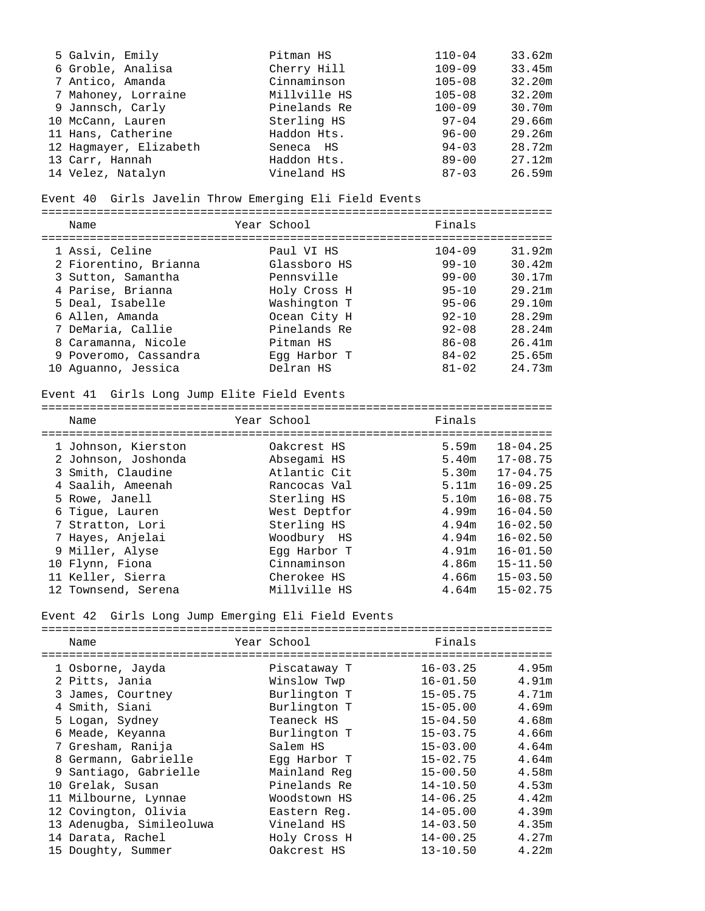| 5 Galvin, Emily        | Pitman HS    | $110 - 04$ | 33.62m |
|------------------------|--------------|------------|--------|
| 6 Groble, Analisa      | Cherry Hill  | $109 - 09$ | 33.45m |
| 7 Antico, Amanda       | Cinnaminson  | $105 - 08$ | 32.20m |
| 7 Mahoney, Lorraine    | Millville HS | $105 - 08$ | 32.20m |
| 9 Jannsch, Carly       | Pinelands Re | $100 - 09$ | 30.70m |
| 10 McCann, Lauren      | Sterling HS  | $97 - 04$  | 29.66m |
| 11 Hans, Catherine     | Haddon Hts.  | $96 - 00$  | 29.26m |
| 12 Hagmayer, Elizabeth | Seneca HS    | $94 - 03$  | 28.72m |
| 13 Carr, Hannah        | Haddon Hts.  | $89 - 00$  | 27.12m |
| 14 Velez, Natalyn      | Vineland HS  | $87 - 03$  | 26.59m |

#### Event 40 Girls Javelin Throw Emerging Eli Field Events

==========================================================================

| Name                  | Year School  | Finals     |        |
|-----------------------|--------------|------------|--------|
| 1 Assi, Celine        | Paul VI HS   | $104 - 09$ | 31.92m |
| 2 Fiorentino, Brianna | Glassboro HS | $99 - 10$  | 30.42m |
| 3 Sutton, Samantha    | Pennsville   | $99 - 00$  | 30.17m |
| 4 Parise, Brianna     | Holy Cross H | $95 - 10$  | 29.21m |
| 5 Deal, Isabelle      | Washington T | $95 - 06$  | 29.10m |
| 6 Allen, Amanda       | Ocean City H | $92 - 10$  | 28.29m |
| 7 DeMaria, Callie     | Pinelands Re | $92 - 08$  | 28.24m |
| 8 Caramanna, Nicole   | Pitman HS    | $86 - 08$  | 26.41m |
| 9 Poveromo, Cassandra | Eqq Harbor T | $84 - 02$  | 25.65m |
| 10 Aquanno, Jessica   | Delran HS    | $81 - 02$  | 24.73m |

### Event 41 Girls Long Jump Elite Field Events

========================================================================== Name Year School Finals ========================================================================== 1 Johnson, Kierston Oakcrest HS 5.59m 18-04.25 2 Johnson, Joshonda Absegami HS 5.40m 17-08.75<br>3 Smith, Claudine Atlantic Cit 5.30m 17-04.75 3 Smith, Claudine Atlantic Cit 5.30m 17-04.75 4 Saalih, Ameenah Rancocas Val 5.11m 16-09.25 5 Rowe, Janell **Sterling HS** 5.10m 16-08.75 6 Tigue, Lauren West Deptfor 4.99m 16-04.50 7 Stratton, Lori 6. Sterling HS 4.94m 16-02.50 7 Hayes, Anjelai Woodbury HS 4.94m 16-02.50 9 Miller, Alyse Egg Harbor T 4.91m 16-01.50 10 Flynn, Fiona Cinnaminson 4.86m 15-11.50 11 Keller, Sierra Cherokee HS 4.66m 15-03.50

12 Townsend, Serena Millville HS 4.64m 15-02.75

#### Event 42 Girls Long Jump Emerging Eli Field Events

| Name                     |  | Year School  | Finals       |       |  |
|--------------------------|--|--------------|--------------|-------|--|
|                          |  |              |              |       |  |
| 1 Osborne, Jayda         |  | Piscataway T | $16 - 03.25$ | 4.95m |  |
| 2 Pitts, Jania           |  | Winslow Twp  | $16 - 01.50$ | 4.91m |  |
| 3 James, Courtney        |  | Burlington T | $15 - 05.75$ | 4.71m |  |
| 4 Smith, Siani           |  | Burlington T | $15 - 05.00$ | 4.69m |  |
| 5 Logan, Sydney          |  | Teaneck HS   | $15 - 04.50$ | 4.68m |  |
| 6 Meade, Keyanna         |  | Burlington T | $15 - 03.75$ | 4.66m |  |
| 7 Gresham, Ranija        |  | Salem HS     | $15 - 03.00$ | 4.64m |  |
| 8 Germann, Gabrielle     |  | Eqq Harbor T | $15 - 02.75$ | 4.64m |  |
| 9 Santiago, Gabrielle    |  | Mainland Reg | $15 - 00.50$ | 4.58m |  |
| 10 Grelak, Susan         |  | Pinelands Re | $14 - 10.50$ | 4.53m |  |
| 11 Milbourne, Lynnae     |  | Woodstown HS | $14 - 06.25$ | 4.42m |  |
| 12 Covington, Olivia     |  | Eastern Req. | $14 - 05.00$ | 4.39m |  |
| 13 Adenugba, Simileoluwa |  | Vineland HS  | $14 - 03.50$ | 4.35m |  |
| 14 Darata, Rachel        |  | Holy Cross H | $14 - 00.25$ | 4.27m |  |
| 15 Doughty, Summer       |  | Oakcrest HS  | $13 - 10.50$ | 4.22m |  |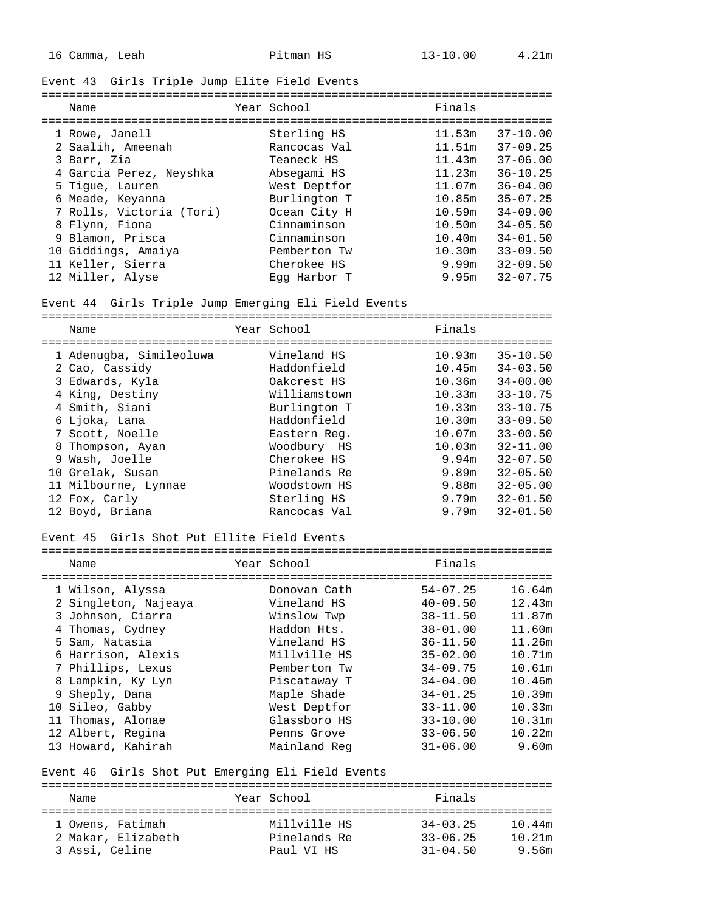## Event 43 Girls Triple Jump Elite Field Events

| Name                     | Year School  | Finals |              |
|--------------------------|--------------|--------|--------------|
| 1 Rowe, Janell           | Sterling HS  | 11.53m | $37 - 10.00$ |
| 2 Saalih, Ameenah        | Rancocas Val | 11.51m | $37 - 09.25$ |
| 3 Barr, Zia              | Teaneck HS   | 11.43m | $37 - 06.00$ |
| 4 Garcia Perez, Neyshka  | Absegami HS  | 11.23m | $36 - 10.25$ |
| 5 Tique, Lauren          | West Deptfor | 11.07m | $36 - 04.00$ |
| 6 Meade, Keyanna         | Burlington T | 10.85m | $35 - 07.25$ |
| 7 Rolls, Victoria (Tori) | Ocean City H | 10.59m | $34 - 09.00$ |
| 8 Flynn, Fiona           | Cinnaminson  | 10.50m | $34 - 05.50$ |
| 9 Blamon, Prisca         | Cinnaminson  | 10.40m | $34 - 01.50$ |
| 10 Giddings, Amaiya      | Pemberton Tw | 10.30m | $33 - 09.50$ |
| 11 Keller, Sierra        | Cherokee HS  | 9.99m  | $32 - 09.50$ |
| 12 Miller, Alyse         | Eqq Harbor T | 9.95m  | $32 - 07.75$ |

### Event 44 Girls Triple Jump Emerging Eli Field Events

==========================================================================

| Name                    | Year School  | Finals             |              |
|-------------------------|--------------|--------------------|--------------|
| 1 Adenugba, Simileoluwa | Vineland HS  | 10.93m             | $35 - 10.50$ |
| 2 Cao, Cassidy          | Haddonfield  | 10.45m             | $34 - 03.50$ |
| 3 Edwards, Kyla         | Oakcrest HS  | 10.36m             | $34 - 00.00$ |
| 4 King, Destiny         | Williamstown | 10.33m             | $33 - 10.75$ |
| 4 Smith, Siani          | Burlington T | 10.33m             | $33 - 10.75$ |
| 6 Ljoka, Lana           | Haddonfield  | 10.30 <sub>m</sub> | $33 - 09.50$ |
| 7 Scott, Noelle         | Eastern Req. | 10.07m             | $33 - 00.50$ |
| 8 Thompson, Ayan        | Woodbury HS  | 10.03m             | $32 - 11.00$ |
| 9 Wash, Joelle          | Cherokee HS  | 9.94m              | $32 - 07.50$ |
| 10 Grelak, Susan        | Pinelands Re | 9.89m              | $32 - 05.50$ |
| 11 Milbourne, Lynnae    | Woodstown HS | 9.88m              | $32 - 05.00$ |
| 12 Fox, Carly           | Sterling HS  | 9.79m              | $32 - 01.50$ |
| 12 Boyd, Briana         | Rancocas Val | 9.79m              | $32 - 01.50$ |

#### Event 45 Girls Shot Put Ellite Field Events

| Name                 | Year School  | Finals       |        |
|----------------------|--------------|--------------|--------|
| 1 Wilson, Alyssa     | Donovan Cath | $54 - 07.25$ | 16.64m |
| 2 Singleton, Najeaya | Vineland HS  | $40 - 09.50$ | 12.43m |
| 3 Johnson, Ciarra    | Winslow Twp  | $38 - 11.50$ | 11.87m |
| 4 Thomas, Cydney     | Haddon Hts.  | $38 - 01.00$ | 11.60m |
| 5 Sam, Natasia       | Vineland HS  | $36 - 11.50$ | 11.26m |
| 6 Harrison, Alexis   | Millville HS | $35 - 02.00$ | 10.71m |
| 7 Phillips, Lexus    | Pemberton Tw | $34 - 09.75$ | 10.61m |
| 8 Lampkin, Ky Lyn    | Piscataway T | $34 - 04.00$ | 10.46m |
| 9 Sheply, Dana       | Maple Shade  | $34 - 01.25$ | 10.39m |
| 10 Sileo, Gabby      | West Deptfor | $33 - 11.00$ | 10.33m |
| Thomas, Alonae       | Glassboro HS | $33 - 10.00$ | 10.31m |
| 12 Albert, Regina    | Penns Grove  | $33 - 06.50$ | 10.22m |
| 13 Howard, Kahirah   | Mainland Reg | $31 - 06.00$ | 9.60m  |

==========================================================================

## Event 46 Girls Shot Put Emerging Eli Field Events

========================================================================== Name **Year School** Pinals ========================================================================== 1 Owens, Fatimah Millville HS 34-03.25 10.44m 2 Makar, Elizabeth Pinelands Re 33-06.25 10.21m 3 Assi, Celine Paul VI HS 31-04.50 9.56m